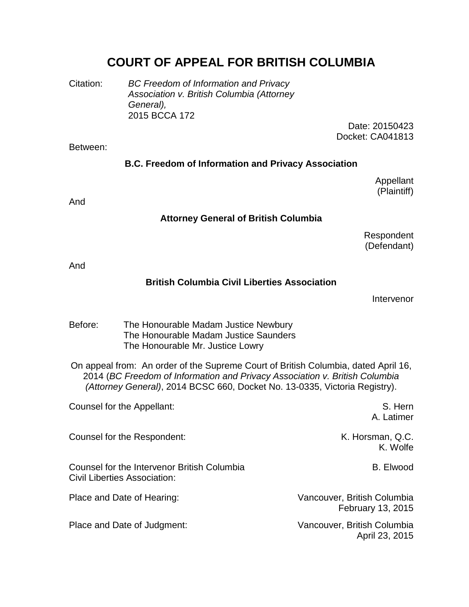# **COURT OF APPEAL FOR BRITISH COLUMBIA**

Citation: *BC Freedom of Information and Privacy Association v. British Columbia (Attorney General),* 2015 BCCA 172

Date: 20150423 Docket: CA041813

#### Between:

#### **B.C. Freedom of Information and Privacy Association**

Appellant (Plaintiff)

And

#### **Attorney General of British Columbia**

Respondent (Defendant)

And

### **British Columbia Civil Liberties Association**

Intervenor

Before: The Honourable Madam Justice Newbury The Honourable Madam Justice Saunders The Honourable Mr. Justice Lowry

On appeal from: An order of the Supreme Court of British Columbia, dated April 16, 2014 (*BC Freedom of Information and Privacy Association v. British Columbia (Attorney General)*, 2014 BCSC 660, Docket No. 13-0335, Victoria Registry).

| Counsel for the Appellant:                                                         | S. Hern<br>A. Latimer                            |
|------------------------------------------------------------------------------------|--------------------------------------------------|
| Counsel for the Respondent:                                                        | K. Horsman, Q.C.<br>K. Wolfe                     |
| Counsel for the Intervenor British Columbia<br><b>Civil Liberties Association:</b> | <b>B.</b> Elwood                                 |
| Place and Date of Hearing:                                                         | Vancouver, British Columbia<br>February 13, 2015 |
| Place and Date of Judgment:                                                        | Vancouver, British Columbia<br>April 23, 2015    |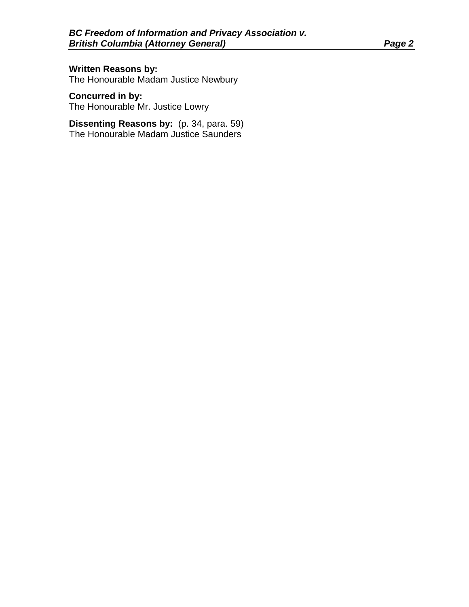**Written Reasons by:** The Honourable Madam Justice Newbury

**Concurred in by:** The Honourable Mr. Justice Lowry

**Dissenting Reasons by:** (p. 34, para. 59) The Honourable Madam Justice Saunders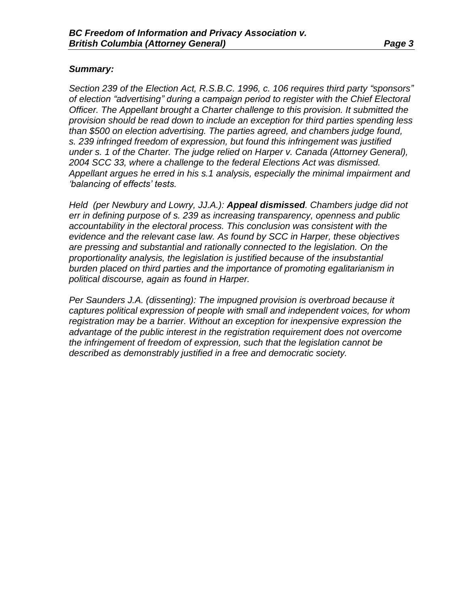#### *Summary:*

*Section 239 of the Election Act, R.S.B.C. 1996, c. 106 requires third party "sponsors" of election "advertising" during a campaign period to register with the Chief Electoral Officer. The Appellant brought a Charter challenge to this provision. It submitted the provision should be read down to include an exception for third parties spending less than \$500 on election advertising. The parties agreed, and chambers judge found, s. 239 infringed freedom of expression, but found this infringement was justified under s. 1 of the Charter. The judge relied on Harper v. Canada (Attorney General), 2004 SCC 33, where a challenge to the federal Elections Act was dismissed. Appellant argues he erred in his s.1 analysis, especially the minimal impairment and 'balancing of effects' tests.* 

*Held (per Newbury and Lowry, JJ.A.): Appeal dismissed. Chambers judge did not err in defining purpose of s. 239 as increasing transparency, openness and public accountability in the electoral process. This conclusion was consistent with the evidence and the relevant case law. As found by SCC in Harper, these objectives are pressing and substantial and rationally connected to the legislation. On the proportionality analysis, the legislation is justified because of the insubstantial burden placed on third parties and the importance of promoting egalitarianism in political discourse, again as found in Harper.*

*Per Saunders J.A. (dissenting): The impugned provision is overbroad because it captures political expression of people with small and independent voices, for whom registration may be a barrier. Without an exception for inexpensive expression the advantage of the public interest in the registration requirement does not overcome the infringement of freedom of expression, such that the legislation cannot be described as demonstrably justified in a free and democratic society.*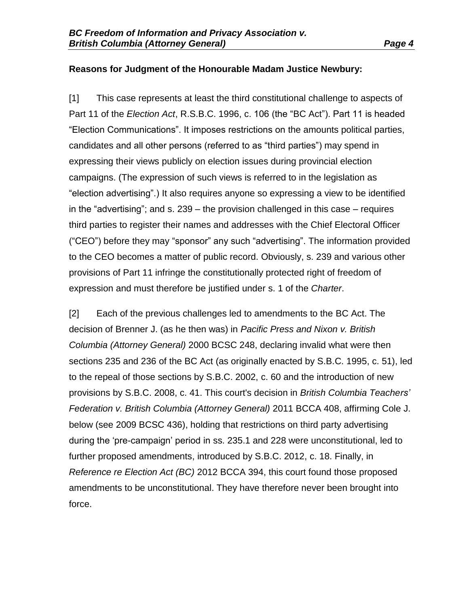### **Reasons for Judgment of the Honourable Madam Justice Newbury:**

[1] This case represents at least the third constitutional challenge to aspects of Part 11 of the *Election Act*, R.S.B.C. 1996, c. 106 (the "BC Act"). Part 11 is headed "Election Communications". It imposes restrictions on the amounts political parties, candidates and all other persons (referred to as "third parties") may spend in expressing their views publicly on election issues during provincial election campaigns. (The expression of such views is referred to in the legislation as "election advertising".) It also requires anyone so expressing a view to be identified in the "advertising"; and s. 239 – the provision challenged in this case – requires third parties to register their names and addresses with the Chief Electoral Officer ("CEO") before they may "sponsor" any such "advertising". The information provided to the CEO becomes a matter of public record. Obviously, s. 239 and various other provisions of Part 11 infringe the constitutionally protected right of freedom of expression and must therefore be justified under s. 1 of the *Charter*.

[2] Each of the previous challenges led to amendments to the BC Act. The decision of Brenner J. (as he then was) in *Pacific Press and Nixon v. British Columbia (Attorney General)* 2000 BCSC 248, declaring invalid what were then sections 235 and 236 of the BC Act (as originally enacted by S.B.C. 1995, c. 51), led to the repeal of those sections by S.B.C. 2002, c. 60 and the introduction of new provisions by S.B.C. 2008, c. 41. This court's decision in *British Columbia Teachers' Federation v. British Columbia (Attorney General)* 2011 BCCA 408, affirming Cole J. below (see 2009 BCSC 436), holding that restrictions on third party advertising during the 'pre-campaign' period in ss. 235.1 and 228 were unconstitutional, led to further proposed amendments, introduced by S.B.C. 2012, c. 18. Finally, in *Reference re Election Act (BC)* 2012 BCCA 394, this court found those proposed amendments to be unconstitutional. They have therefore never been brought into force.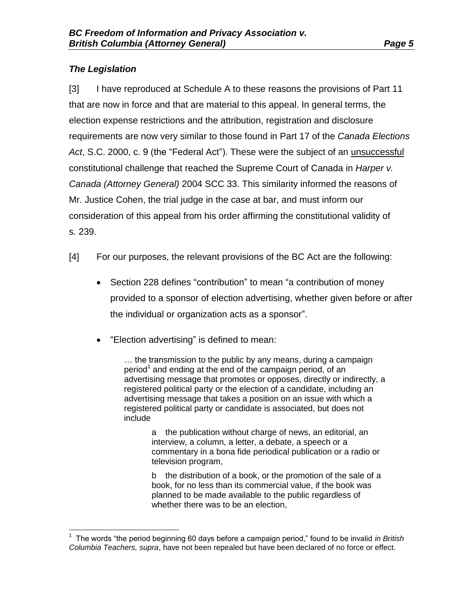## *The Legislation*

[3] I have reproduced at Schedule A to these reasons the provisions of Part 11 that are now in force and that are material to this appeal. In general terms, the election expense restrictions and the attribution, registration and disclosure requirements are now very similar to those found in Part 17 of the *Canada Elections Act*, S.C. 2000, c. 9 (the "Federal Act"). These were the subject of an unsuccessful constitutional challenge that reached the Supreme Court of Canada in *Harper v. Canada (Attorney General)* 2004 SCC 33. This similarity informed the reasons of Mr. Justice Cohen, the trial judge in the case at bar, and must inform our consideration of this appeal from his order affirming the constitutional validity of s. 239.

- [4] For our purposes, the relevant provisions of the BC Act are the following:
	- Section 228 defines "contribution" to mean "a contribution of money provided to a sponsor of election advertising, whether given before or after the individual or organization acts as a sponsor".
	- "Election advertising" is defined to mean:

… the transmission to the public by any means, during a campaign period<sup>1</sup> and ending at the end of the campaign period, of an advertising message that promotes or opposes, directly or indirectly, a registered political party or the election of a candidate, including an advertising message that takes a position on an issue with which a registered political party or candidate is associated, but does not include

> a the publication without charge of news, an editorial, an interview, a column, a letter, a debate, a speech or a commentary in a bona fide periodical publication or a radio or television program,

> b the distribution of a book, or the promotion of the sale of a book, for no less than its commercial value, if the book was planned to be made available to the public regardless of whether there was to be an election,

 $\overline{a}$ 1 The words "the period beginning 60 days before a campaign period," found to be invalid *in British Columbia Teachers, supra*, have not been repealed but have been declared of no force or effect.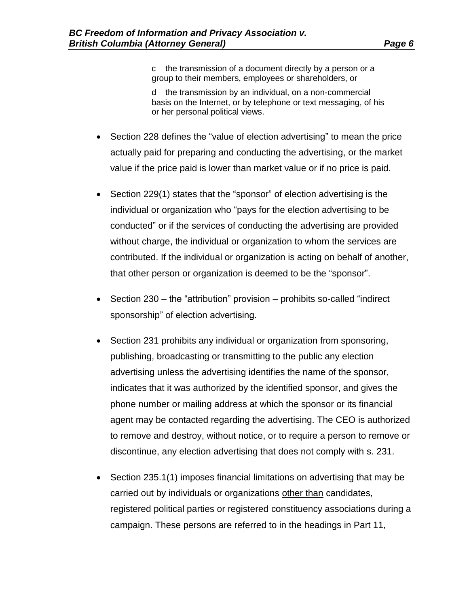c the transmission of a document directly by a person or a group to their members, employees or shareholders, or

d the transmission by an individual, on a non-commercial basis on the Internet, or by telephone or text messaging, of his or her personal political views.

- Section 228 defines the "value of election advertising" to mean the price actually paid for preparing and conducting the advertising, or the market value if the price paid is lower than market value or if no price is paid.
- Section 229(1) states that the "sponsor" of election advertising is the individual or organization who "pays for the election advertising to be conducted" or if the services of conducting the advertising are provided without charge, the individual or organization to whom the services are contributed. If the individual or organization is acting on behalf of another, that other person or organization is deemed to be the "sponsor".
- $\bullet$  Section 230 the "attribution" provision prohibits so-called "indirect sponsorship" of election advertising.
- Section 231 prohibits any individual or organization from sponsoring, publishing, broadcasting or transmitting to the public any election advertising unless the advertising identifies the name of the sponsor, indicates that it was authorized by the identified sponsor, and gives the phone number or mailing address at which the sponsor or its financial agent may be contacted regarding the advertising. The CEO is authorized to remove and destroy, without notice, or to require a person to remove or discontinue, any election advertising that does not comply with s. 231.
- Section 235.1(1) imposes financial limitations on advertising that may be carried out by individuals or organizations other than candidates, registered political parties or registered constituency associations during a campaign. These persons are referred to in the headings in Part 11,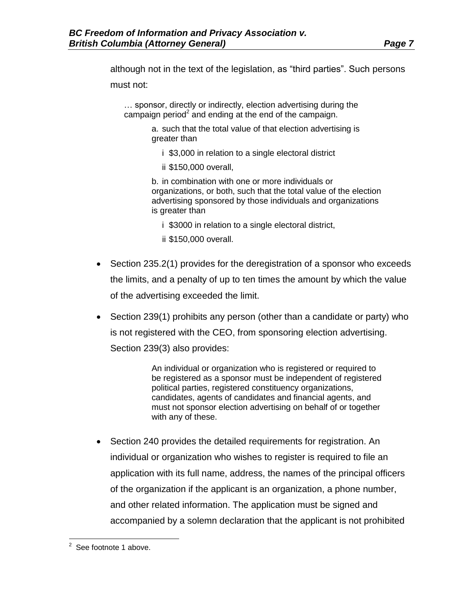although not in the text of the legislation, as "third parties". Such persons must not:

… sponsor, directly or indirectly, election advertising during the campaign period<sup>2</sup> and ending at the end of the campaign.

> a. such that the total value of that election advertising is greater than

- i \$3,000 in relation to a single electoral district
- ii \$150,000 overall,

b. in combination with one or more individuals or organizations, or both, such that the total value of the election advertising sponsored by those individuals and organizations is greater than

i \$3000 in relation to a single electoral district,

- ii \$150,000 overall.
- Section 235.2(1) provides for the deregistration of a sponsor who exceeds the limits, and a penalty of up to ten times the amount by which the value of the advertising exceeded the limit.
- Section 239(1) prohibits any person (other than a candidate or party) who is not registered with the CEO, from sponsoring election advertising. Section 239(3) also provides:

An individual or organization who is registered or required to be registered as a sponsor must be independent of registered political parties, registered constituency organizations, candidates, agents of candidates and financial agents, and must not sponsor election advertising on behalf of or together with any of these.

• Section 240 provides the detailed requirements for registration. An individual or organization who wishes to register is required to file an application with its full name, address, the names of the principal officers of the organization if the applicant is an organization, a phone number, and other related information. The application must be signed and accompanied by a solemn declaration that the applicant is not prohibited

erse footnote 1 above.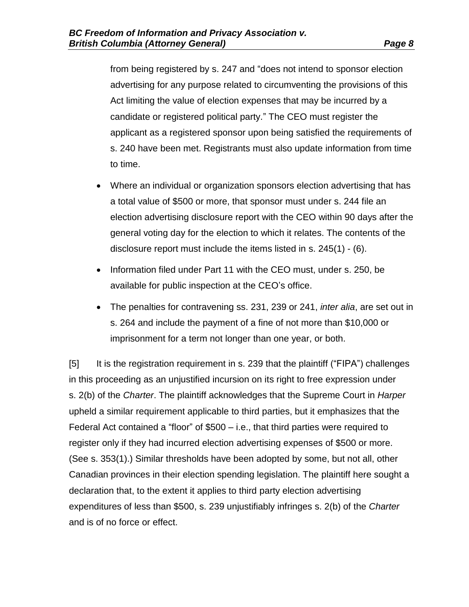from being registered by s. 247 and "does not intend to sponsor election advertising for any purpose related to circumventing the provisions of this Act limiting the value of election expenses that may be incurred by a candidate or registered political party." The CEO must register the applicant as a registered sponsor upon being satisfied the requirements of s. 240 have been met. Registrants must also update information from time to time.

- Where an individual or organization sponsors election advertising that has a total value of \$500 or more, that sponsor must under s. 244 file an election advertising disclosure report with the CEO within 90 days after the general voting day for the election to which it relates. The contents of the disclosure report must include the items listed in s. 245(1) - (6).
- Information filed under Part 11 with the CEO must, under s. 250, be available for public inspection at the CEO's office.
- The penalties for contravening ss. 231, 239 or 241, *inter alia*, are set out in s. 264 and include the payment of a fine of not more than \$10,000 or imprisonment for a term not longer than one year, or both.

[5] It is the registration requirement in s. 239 that the plaintiff ("FIPA") challenges in this proceeding as an unjustified incursion on its right to free expression under s. 2(b) of the *Charter*. The plaintiff acknowledges that the Supreme Court in *Harper* upheld a similar requirement applicable to third parties, but it emphasizes that the Federal Act contained a "floor" of \$500 – i.e., that third parties were required to register only if they had incurred election advertising expenses of \$500 or more. (See s. 353(1).) Similar thresholds have been adopted by some, but not all, other Canadian provinces in their election spending legislation. The plaintiff here sought a declaration that, to the extent it applies to third party election advertising expenditures of less than \$500, s. 239 unjustifiably infringes s. 2(b) of the *Charter* and is of no force or effect.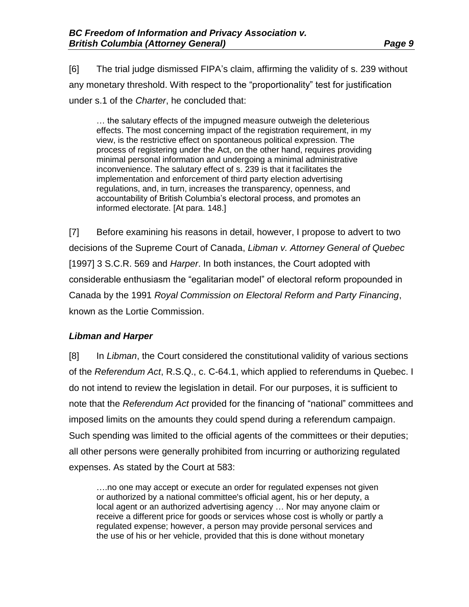[6] The trial judge dismissed FIPA's claim, affirming the validity of s. 239 without any monetary threshold. With respect to the "proportionality" test for justification under s.1 of the *Charter*, he concluded that:

… the salutary effects of the impugned measure outweigh the deleterious effects. The most concerning impact of the registration requirement, in my view, is the restrictive effect on spontaneous political expression. The process of registering under the Act, on the other hand, requires providing minimal personal information and undergoing a minimal administrative inconvenience. The salutary effect of s. 239 is that it facilitates the implementation and enforcement of third party election advertising regulations, and, in turn, increases the transparency, openness, and accountability of British Columbia's electoral process, and promotes an informed electorate. [At para. 148.]

[7] Before examining his reasons in detail, however, I propose to advert to two decisions of the Supreme Court of Canada, *Libman v. Attorney General of Quebec* [1997] 3 S.C.R. 569 and *Harper*. In both instances, the Court adopted with considerable enthusiasm the "egalitarian model" of electoral reform propounded in Canada by the 1991 *Royal Commission on Electoral Reform and Party Financing*, known as the Lortie Commission.

### *Libman and Harper*

[8] In *Libman*, the Court considered the constitutional validity of various sections of the *Referendum Act*, R.S.Q., c. C-64.1, which applied to referendums in Quebec. I do not intend to review the legislation in detail. For our purposes, it is sufficient to note that the *Referendum Act* provided for the financing of "national" committees and imposed limits on the amounts they could spend during a referendum campaign. Such spending was limited to the official agents of the committees or their deputies; all other persons were generally prohibited from incurring or authorizing regulated expenses. As stated by the Court at 583:

….no one may accept or execute an order for regulated expenses not given or authorized by a national committee's official agent, his or her deputy, a local agent or an authorized advertising agency … Nor may anyone claim or receive a different price for goods or services whose cost is wholly or partly a regulated expense; however, a person may provide personal services and the use of his or her vehicle, provided that this is done without monetary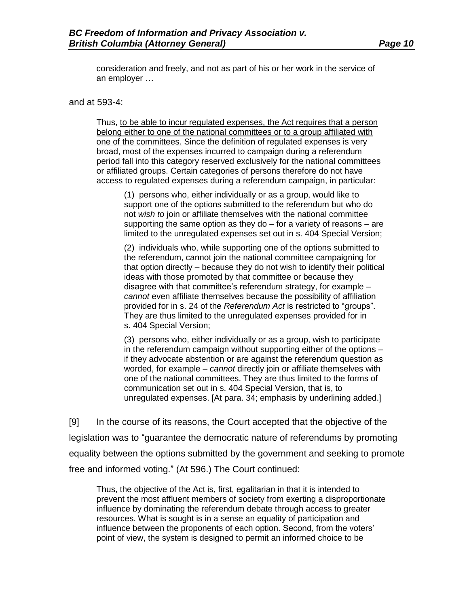consideration and freely, and not as part of his or her work in the service of an employer …

#### and at 593-4:

Thus, to be able to incur regulated expenses, the Act requires that a person belong either to one of the national committees or to a group affiliated with one of the committees. Since the definition of regulated expenses is very broad, most of the expenses incurred to campaign during a referendum period fall into this category reserved exclusively for the national committees or affiliated groups. Certain categories of persons therefore do not have access to regulated expenses during a referendum campaign, in particular:

(1) persons who, either individually or as a group, would like to support one of the options submitted to the referendum but who do not *wish to* join or affiliate themselves with the national committee supporting the same option as they do – for a variety of reasons – are limited to the unregulated expenses set out in s. 404 Special Version;

(2) individuals who, while supporting one of the options submitted to the referendum, cannot join the national committee campaigning for that option directly – because they do not wish to identify their political ideas with those promoted by that committee or because they disagree with that committee's referendum strategy, for example – *cannot* even affiliate themselves because the possibility of affiliation provided for in s. 24 of the *Referendum Act* is restricted to "groups". They are thus limited to the unregulated expenses provided for in s. 404 Special Version;

(3) persons who, either individually or as a group, wish to participate in the referendum campaign without supporting either of the options – if they advocate abstention or are against the referendum question as worded, for example – *cannot* directly join or affiliate themselves with one of the national committees. They are thus limited to the forms of communication set out in s. 404 Special Version, that is, to unregulated expenses. [At para. 34; emphasis by underlining added.]

[9] In the course of its reasons, the Court accepted that the objective of the legislation was to "guarantee the democratic nature of referendums by promoting equality between the options submitted by the government and seeking to promote free and informed voting." (At 596.) The Court continued:

Thus, the objective of the Act is, first, egalitarian in that it is intended to prevent the most affluent members of society from exerting a disproportionate influence by dominating the referendum debate through access to greater resources. What is sought is in a sense an equality of participation and influence between the proponents of each option. Second, from the voters' point of view, the system is designed to permit an informed choice to be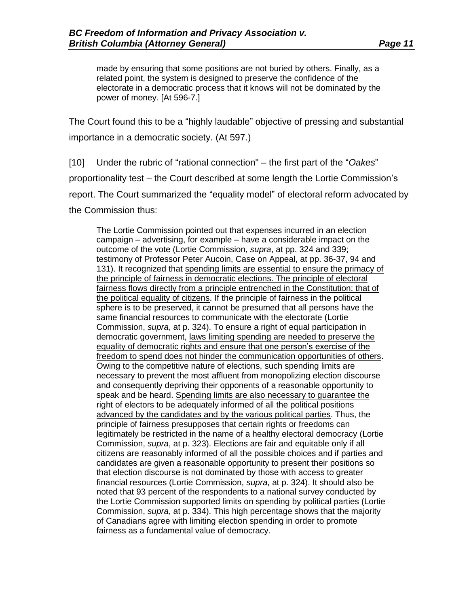made by ensuring that some positions are not buried by others. Finally, as a related point, the system is designed to preserve the confidence of the electorate in a democratic process that it knows will not be dominated by the power of money. [At 596-7.]

The Court found this to be a "highly laudable" objective of pressing and substantial importance in a democratic society. (At 597.)

[10] Under the rubric of "rational connection" – the first part of the "*Oakes*" proportionality test – the Court described at some length the Lortie Commission's report. The Court summarized the "equality model" of electoral reform advocated by the Commission thus:

The Lortie Commission pointed out that expenses incurred in an election campaign – advertising, for example – have a considerable impact on the outcome of the vote (Lortie Commission, *supra*, at pp. 324 and 339; testimony of Professor Peter Aucoin, Case on Appeal, at pp. 36-37, 94 and 131). It recognized that spending limits are essential to ensure the primacy of the principle of fairness in democratic elections. The principle of electoral fairness flows directly from a principle entrenched in the Constitution: that of the political equality of citizens. If the principle of fairness in the political sphere is to be preserved, it cannot be presumed that all persons have the same financial resources to communicate with the electorate (Lortie Commission, *supra*, at p. 324). To ensure a right of equal participation in democratic government, laws limiting spending are needed to preserve the equality of democratic rights and ensure that one person's exercise of the freedom to spend does not hinder the communication opportunities of others. Owing to the competitive nature of elections, such spending limits are necessary to prevent the most affluent from monopolizing election discourse and consequently depriving their opponents of a reasonable opportunity to speak and be heard. Spending limits are also necessary to guarantee the right of electors to be adequately informed of all the political positions advanced by the candidates and by the various political parties. Thus, the principle of fairness presupposes that certain rights or freedoms can legitimately be restricted in the name of a healthy electoral democracy (Lortie Commission, *supra*, at p. 323). Elections are fair and equitable only if all citizens are reasonably informed of all the possible choices and if parties and candidates are given a reasonable opportunity to present their positions so that election discourse is not dominated by those with access to greater financial resources (Lortie Commission, *supra*, at p. 324). It should also be noted that 93 percent of the respondents to a national survey conducted by the Lortie Commission supported limits on spending by political parties (Lortie Commission, *supra*, at p. 334). This high percentage shows that the majority of Canadians agree with limiting election spending in order to promote fairness as a fundamental value of democracy.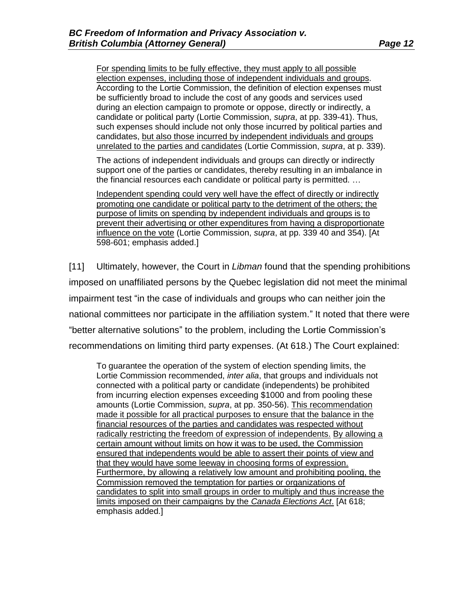For spending limits to be fully effective, they must apply to all possible election expenses, including those of independent individuals and groups. According to the Lortie Commission, the definition of election expenses must be sufficiently broad to include the cost of any goods and services used during an election campaign to promote or oppose, directly or indirectly, a candidate or political party (Lortie Commission, *supra*, at pp. 339-41). Thus, such expenses should include not only those incurred by political parties and candidates, but also those incurred by independent individuals and groups unrelated to the parties and candidates (Lortie Commission, *supra*, at p. 339).

The actions of independent individuals and groups can directly or indirectly support one of the parties or candidates, thereby resulting in an imbalance in the financial resources each candidate or political party is permitted. …

Independent spending could very well have the effect of directly or indirectly promoting one candidate or political party to the detriment of the others; the purpose of limits on spending by independent individuals and groups is to prevent their advertising or other expenditures from having a disproportionate influence on the vote (Lortie Commission, *supra*, at pp. 339 40 and 354). [At 598-601; emphasis added.]

[11] Ultimately, however, the Court in *Libman* found that the spending prohibitions imposed on unaffiliated persons by the Quebec legislation did not meet the minimal impairment test "in the case of individuals and groups who can neither join the national committees nor participate in the affiliation system." It noted that there were "better alternative solutions" to the problem, including the Lortie Commission's recommendations on limiting third party expenses. (At 618.) The Court explained:

To guarantee the operation of the system of election spending limits, the Lortie Commission recommended, *inter alia*, that groups and individuals not connected with a political party or candidate (independents) be prohibited from incurring election expenses exceeding \$1000 and from pooling these amounts (Lortie Commission, *supra*, at pp. 350-56). This recommendation made it possible for all practical purposes to ensure that the balance in the financial resources of the parties and candidates was respected without radically restricting the freedom of expression of independents. By allowing a certain amount without limits on how it was to be used, the Commission ensured that independents would be able to assert their points of view and that they would have some leeway in choosing forms of expression. Furthermore, by allowing a relatively low amount and prohibiting pooling, the Commission removed the temptation for parties or organizations of candidates to split into small groups in order to multiply and thus increase the limits imposed on their campaigns by the *Canada Elections Act*. [At 618; emphasis added.]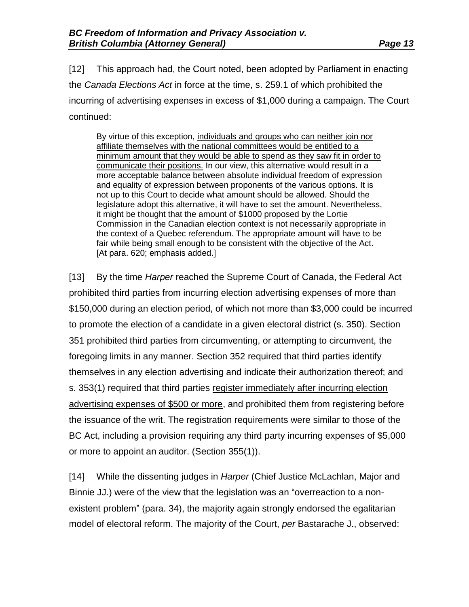[12] This approach had, the Court noted, been adopted by Parliament in enacting the *Canada Elections Act* in force at the time, s. 259.1 of which prohibited the

incurring of advertising expenses in excess of \$1,000 during a campaign. The Court continued:

By virtue of this exception, individuals and groups who can neither join nor affiliate themselves with the national committees would be entitled to a minimum amount that they would be able to spend as they saw fit in order to communicate their positions. In our view, this alternative would result in a more acceptable balance between absolute individual freedom of expression and equality of expression between proponents of the various options. It is not up to this Court to decide what amount should be allowed. Should the legislature adopt this alternative, it will have to set the amount. Nevertheless, it might be thought that the amount of \$1000 proposed by the Lortie Commission in the Canadian election context is not necessarily appropriate in the context of a Quebec referendum. The appropriate amount will have to be fair while being small enough to be consistent with the objective of the Act. [At para. 620; emphasis added.]

[13] By the time *Harper* reached the Supreme Court of Canada, the Federal Act prohibited third parties from incurring election advertising expenses of more than \$150,000 during an election period, of which not more than \$3,000 could be incurred to promote the election of a candidate in a given electoral district (s. 350). Section 351 prohibited third parties from circumventing, or attempting to circumvent, the foregoing limits in any manner. Section 352 required that third parties identify themselves in any election advertising and indicate their authorization thereof; and s. 353(1) required that third parties register immediately after incurring election advertising expenses of \$500 or more, and prohibited them from registering before the issuance of the writ. The registration requirements were similar to those of the BC Act, including a provision requiring any third party incurring expenses of \$5,000 or more to appoint an auditor. (Section 355(1)).

[14] While the dissenting judges in *Harper* (Chief Justice McLachlan, Major and Binnie JJ.) were of the view that the legislation was an "overreaction to a nonexistent problem" (para. 34), the majority again strongly endorsed the egalitarian model of electoral reform. The majority of the Court, *per* Bastarache J., observed: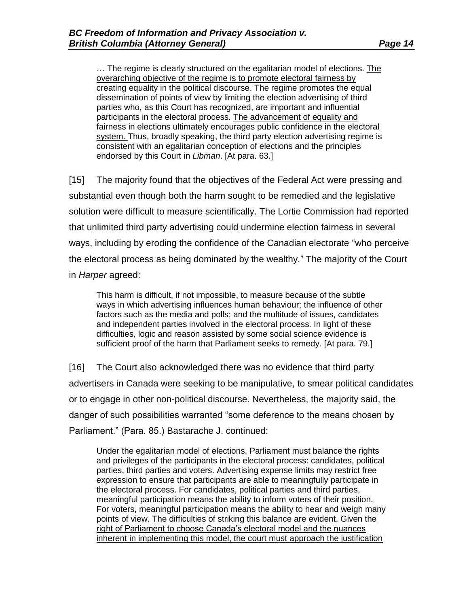… The regime is clearly structured on the egalitarian model of elections. The overarching objective of the regime is to promote electoral fairness by creating equality in the political discourse. The regime promotes the equal dissemination of points of view by limiting the election advertising of third parties who, as this Court has recognized, are important and influential participants in the electoral process. The advancement of equality and fairness in elections ultimately encourages public confidence in the electoral system. Thus, broadly speaking, the third party election advertising regime is consistent with an egalitarian conception of elections and the principles endorsed by this Court in *Libman*. [At para. 63.]

[15] The majority found that the objectives of the Federal Act were pressing and substantial even though both the harm sought to be remedied and the legislative solution were difficult to measure scientifically. The Lortie Commission had reported that unlimited third party advertising could undermine election fairness in several ways, including by eroding the confidence of the Canadian electorate "who perceive the electoral process as being dominated by the wealthy." The majority of the Court in *Harper* agreed:

This harm is difficult, if not impossible, to measure because of the subtle ways in which advertising influences human behaviour; the influence of other factors such as the media and polls; and the multitude of issues, candidates and independent parties involved in the electoral process. In light of these difficulties, logic and reason assisted by some social science evidence is sufficient proof of the harm that Parliament seeks to remedy. [At para. 79.]

[16] The Court also acknowledged there was no evidence that third party advertisers in Canada were seeking to be manipulative, to smear political candidates or to engage in other non-political discourse. Nevertheless, the majority said, the danger of such possibilities warranted "some deference to the means chosen by Parliament." (Para. 85.) Bastarache J. continued:

Under the egalitarian model of elections, Parliament must balance the rights and privileges of the participants in the electoral process: candidates, political parties, third parties and voters. Advertising expense limits may restrict free expression to ensure that participants are able to meaningfully participate in the electoral process. For candidates, political parties and third parties, meaningful participation means the ability to inform voters of their position. For voters, meaningful participation means the ability to hear and weigh many points of view. The difficulties of striking this balance are evident. Given the right of Parliament to choose Canada's electoral model and the nuances inherent in implementing this model, the court must approach the justification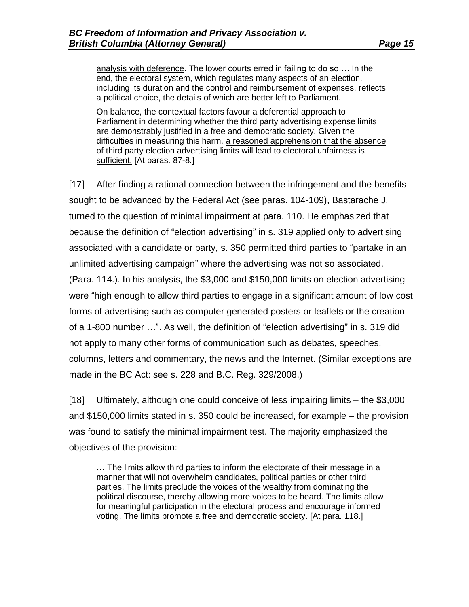analysis with deference. The lower courts erred in failing to do so…. In the end, the electoral system, which regulates many aspects of an election, including its duration and the control and reimbursement of expenses, reflects a political choice, the details of which are better left to Parliament.

On balance, the contextual factors favour a deferential approach to Parliament in determining whether the third party advertising expense limits are demonstrably justified in a free and democratic society. Given the difficulties in measuring this harm, a reasoned apprehension that the absence of third party election advertising limits will lead to electoral unfairness is sufficient. [At paras. 87-8.]

[17] After finding a rational connection between the infringement and the benefits sought to be advanced by the Federal Act (see paras. 104-109), Bastarache J. turned to the question of minimal impairment at para. 110. He emphasized that because the definition of "election advertising" in s. 319 applied only to advertising associated with a candidate or party, s. 350 permitted third parties to "partake in an unlimited advertising campaign" where the advertising was not so associated. (Para. 114.). In his analysis, the \$3,000 and \$150,000 limits on election advertising were "high enough to allow third parties to engage in a significant amount of low cost forms of advertising such as computer generated posters or leaflets or the creation of a 1-800 number …". As well, the definition of "election advertising" in s. 319 did not apply to many other forms of communication such as debates, speeches, columns, letters and commentary, the news and the Internet. (Similar exceptions are made in the BC Act: see s. 228 and B.C. Reg. 329/2008.)

[18] Ultimately, although one could conceive of less impairing limits – the \$3,000 and \$150,000 limits stated in s. 350 could be increased, for example – the provision was found to satisfy the minimal impairment test. The majority emphasized the objectives of the provision:

… The limits allow third parties to inform the electorate of their message in a manner that will not overwhelm candidates, political parties or other third parties. The limits preclude the voices of the wealthy from dominating the political discourse, thereby allowing more voices to be heard. The limits allow for meaningful participation in the electoral process and encourage informed voting. The limits promote a free and democratic society. [At para. 118.]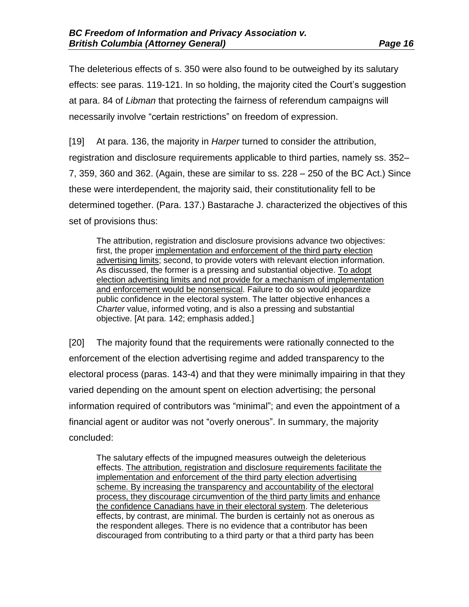The deleterious effects of s. 350 were also found to be outweighed by its salutary effects: see paras. 119-121. In so holding, the majority cited the Court's suggestion at para. 84 of *Libman* that protecting the fairness of referendum campaigns will necessarily involve "certain restrictions" on freedom of expression.

[19] At para. 136, the majority in *Harper* turned to consider the attribution, registration and disclosure requirements applicable to third parties, namely ss. 352– 7, 359, 360 and 362. (Again, these are similar to ss. 228 – 250 of the BC Act.) Since these were interdependent, the majority said, their constitutionality fell to be determined together. (Para. 137.) Bastarache J. characterized the objectives of this set of provisions thus:

The attribution, registration and disclosure provisions advance two objectives: first, the proper implementation and enforcement of the third party election advertising limits; second, to provide voters with relevant election information. As discussed, the former is a pressing and substantial objective. To adopt election advertising limits and not provide for a mechanism of implementation and enforcement would be nonsensical. Failure to do so would jeopardize public confidence in the electoral system. The latter objective enhances a *Charter* value, informed voting, and is also a pressing and substantial objective. [At para. 142; emphasis added.]

[20] The majority found that the requirements were rationally connected to the enforcement of the election advertising regime and added transparency to the electoral process (paras. 143-4) and that they were minimally impairing in that they varied depending on the amount spent on election advertising; the personal information required of contributors was "minimal"; and even the appointment of a financial agent or auditor was not "overly onerous". In summary, the majority concluded:

The salutary effects of the impugned measures outweigh the deleterious effects. The attribution, registration and disclosure requirements facilitate the implementation and enforcement of the third party election advertising scheme. By increasing the transparency and accountability of the electoral process, they discourage circumvention of the third party limits and enhance the confidence Canadians have in their electoral system. The deleterious effects, by contrast, are minimal. The burden is certainly not as onerous as the respondent alleges. There is no evidence that a contributor has been discouraged from contributing to a third party or that a third party has been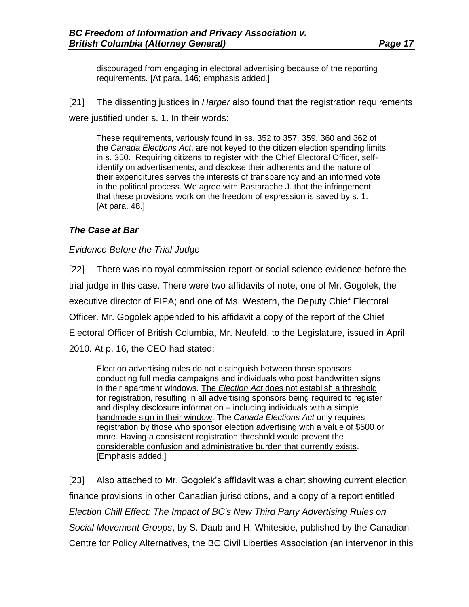discouraged from engaging in electoral advertising because of the reporting requirements. [At para. 146; emphasis added.]

[21] The dissenting justices in *Harper* also found that the registration requirements were justified under s. 1. In their words:

These requirements, variously found in ss. 352 to 357, 359, 360 and 362 of the *Canada Elections Act*, are not keyed to the citizen election spending limits in s. 350. Requiring citizens to register with the Chief Electoral Officer, selfidentify on advertisements, and disclose their adherents and the nature of their expenditures serves the interests of transparency and an informed vote in the political process. We agree with Bastarache J. that the infringement that these provisions work on the freedom of expression is saved by s. 1. [At para. 48.]

### *The Case at Bar*

### *Evidence Before the Trial Judge*

[22] There was no royal commission report or social science evidence before the trial judge in this case. There were two affidavits of note, one of Mr. Gogolek, the executive director of FIPA; and one of Ms. Western, the Deputy Chief Electoral Officer. Mr. Gogolek appended to his affidavit a copy of the report of the Chief Electoral Officer of British Columbia, Mr. Neufeld, to the Legislature, issued in April 2010. At p. 16, the CEO had stated:

Election advertising rules do not distinguish between those sponsors conducting full media campaigns and individuals who post handwritten signs in their apartment windows. The *Election Act* does not establish a threshold for registration, resulting in all advertising sponsors being required to register and display disclosure information – including individuals with a simple handmade sign in their window. The *Canada Elections Act* only requires registration by those who sponsor election advertising with a value of \$500 or more. Having a consistent registration threshold would prevent the considerable confusion and administrative burden that currently exists. [Emphasis added.]

[23] Also attached to Mr. Gogolek's affidavit was a chart showing current election finance provisions in other Canadian jurisdictions, and a copy of a report entitled *Election Chill Effect: The Impact of BC's New Third Party Advertising Rules on Social Movement Groups*, by S. Daub and H. Whiteside, published by the Canadian Centre for Policy Alternatives, the BC Civil Liberties Association (an intervenor in this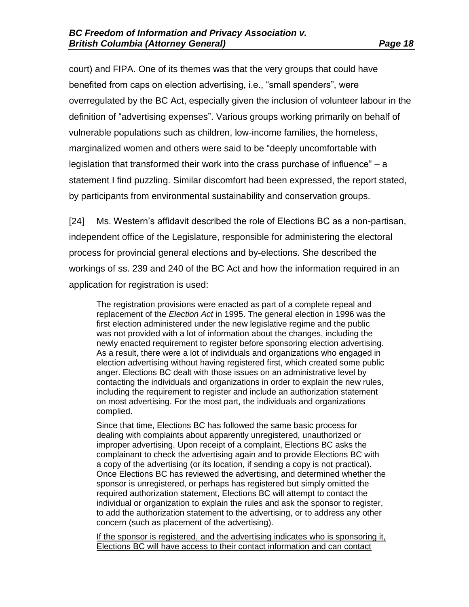court) and FIPA. One of its themes was that the very groups that could have benefited from caps on election advertising, i.e., "small spenders", were overregulated by the BC Act, especially given the inclusion of volunteer labour in the definition of "advertising expenses". Various groups working primarily on behalf of vulnerable populations such as children, low-income families, the homeless, marginalized women and others were said to be "deeply uncomfortable with legislation that transformed their work into the crass purchase of influence" – a statement I find puzzling. Similar discomfort had been expressed, the report stated, by participants from environmental sustainability and conservation groups.

[24] Ms. Western's affidavit described the role of Elections BC as a non-partisan, independent office of the Legislature, responsible for administering the electoral process for provincial general elections and by-elections. She described the workings of ss. 239 and 240 of the BC Act and how the information required in an application for registration is used:

The registration provisions were enacted as part of a complete repeal and replacement of the *Election Act* in 1995. The general election in 1996 was the first election administered under the new legislative regime and the public was not provided with a lot of information about the changes, including the newly enacted requirement to register before sponsoring election advertising. As a result, there were a lot of individuals and organizations who engaged in election advertising without having registered first, which created some public anger. Elections BC dealt with those issues on an administrative level by contacting the individuals and organizations in order to explain the new rules, including the requirement to register and include an authorization statement on most advertising. For the most part, the individuals and organizations complied.

Since that time, Elections BC has followed the same basic process for dealing with complaints about apparently unregistered, unauthorized or improper advertising. Upon receipt of a complaint, Elections BC asks the complainant to check the advertising again and to provide Elections BC with a copy of the advertising (or its location, if sending a copy is not practical). Once Elections BC has reviewed the advertising, and determined whether the sponsor is unregistered, or perhaps has registered but simply omitted the required authorization statement, Elections BC will attempt to contact the individual or organization to explain the rules and ask the sponsor to register, to add the authorization statement to the advertising, or to address any other concern (such as placement of the advertising).

If the sponsor is registered, and the advertising indicates who is sponsoring it, Elections BC will have access to their contact information and can contact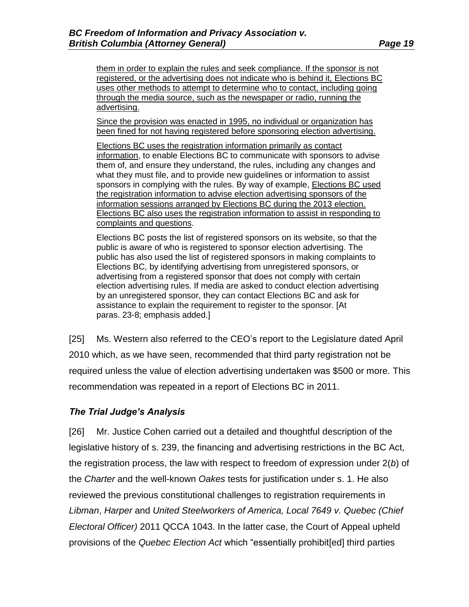them in order to explain the rules and seek compliance. If the sponsor is not registered, or the advertising does not indicate who is behind it, Elections BC uses other methods to attempt to determine who to contact, including going through the media source, such as the newspaper or radio, running the advertising.

Since the provision was enacted in 1995, no individual or organization has been fined for not having registered before sponsoring election advertising.

Elections BC uses the registration information primarily as contact information, to enable Elections BC to communicate with sponsors to advise them of, and ensure they understand, the rules, including any changes and what they must file, and to provide new guidelines or information to assist sponsors in complying with the rules. By way of example, Elections BC used the registration information to advise election advertising sponsors of the information sessions arranged by Elections BC during the 2013 election. Elections BC also uses the registration information to assist in responding to complaints and questions.

Elections BC posts the list of registered sponsors on its website, so that the public is aware of who is registered to sponsor election advertising. The public has also used the list of registered sponsors in making complaints to Elections BC, by identifying advertising from unregistered sponsors, or advertising from a registered sponsor that does not comply with certain election advertising rules. If media are asked to conduct election advertising by an unregistered sponsor, they can contact Elections BC and ask for assistance to explain the requirement to register to the sponsor. [At paras. 23-8; emphasis added.]

[25] Ms. Western also referred to the CEO's report to the Legislature dated April 2010 which, as we have seen, recommended that third party registration not be required unless the value of election advertising undertaken was \$500 or more. This recommendation was repeated in a report of Elections BC in 2011.

### *The Trial Judge's Analysis*

[26] Mr. Justice Cohen carried out a detailed and thoughtful description of the legislative history of s. 239, the financing and advertising restrictions in the BC Act, the registration process, the law with respect to freedom of expression under 2(*b*) of the *Charter* and the well-known *Oakes* tests for justification under s. 1. He also reviewed the previous constitutional challenges to registration requirements in *Libman*, *Harper* and *United Steelworkers of America, Local 7649 v. Quebec (Chief Electoral Officer)* 2011 QCCA 1043. In the latter case, the Court of Appeal upheld provisions of the *Quebec Election Act* which "essentially prohibit[ed] third parties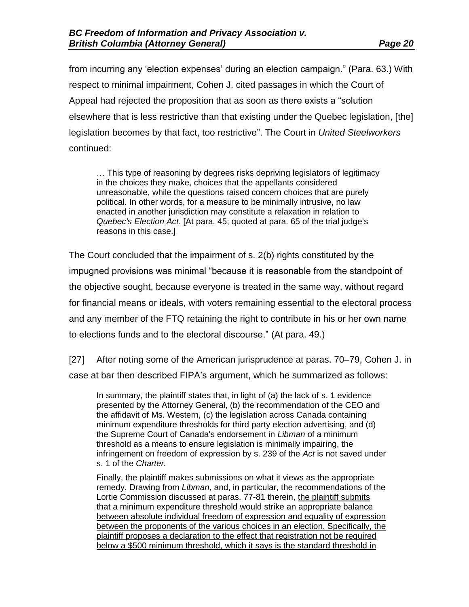from incurring any 'election expenses' during an election campaign." (Para. 63.) With respect to minimal impairment, Cohen J. cited passages in which the Court of Appeal had rejected the proposition that as soon as there exists a "solution elsewhere that is less restrictive than that existing under the Quebec legislation, [the] legislation becomes by that fact, too restrictive". The Court in *United Steelworkers* continued:

… This type of reasoning by degrees risks depriving legislators of legitimacy in the choices they make, choices that the appellants considered unreasonable, while the questions raised concern choices that are purely political. In other words, for a measure to be minimally intrusive, no law enacted in another jurisdiction may constitute a relaxation in relation to *Quebec's Election Act*. [At para. 45; quoted at para. 65 of the trial judge's reasons in this case.]

The Court concluded that the impairment of s. 2(b) rights constituted by the impugned provisions was minimal "because it is reasonable from the standpoint of the objective sought, because everyone is treated in the same way, without regard for financial means or ideals, with voters remaining essential to the electoral process and any member of the FTQ retaining the right to contribute in his or her own name to elections funds and to the electoral discourse." (At para. 49.)

[27] After noting some of the American jurisprudence at paras. 70–79, Cohen J. in case at bar then described FIPA's argument, which he summarized as follows:

In summary, the plaintiff states that, in light of (a) the lack of s. 1 evidence presented by the Attorney General, (b) the recommendation of the CEO and the affidavit of Ms. Western, (c) the legislation across Canada containing minimum expenditure thresholds for third party election advertising, and (d) the Supreme Court of Canada's endorsement in *Libman* of a minimum threshold as a means to ensure legislation is minimally impairing, the infringement on freedom of expression by s. 239 of the *Act* is not saved under s. 1 of the *Charter.*

Finally, the plaintiff makes submissions on what it views as the appropriate remedy. Drawing from *Libman*, and, in particular, the recommendations of the Lortie Commission discussed at paras. 77-81 therein, the plaintiff submits that a minimum expenditure threshold would strike an appropriate balance between absolute individual freedom of expression and equality of expression between the proponents of the various choices in an election. Specifically, the plaintiff proposes a declaration to the effect that registration not be required below a \$500 minimum threshold, which it says is the standard threshold in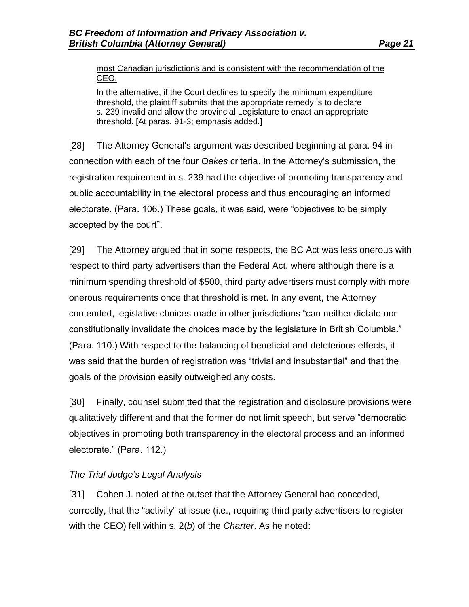most Canadian jurisdictions and is consistent with the recommendation of the CEO.

In the alternative, if the Court declines to specify the minimum expenditure threshold, the plaintiff submits that the appropriate remedy is to declare s. 239 invalid and allow the provincial Legislature to enact an appropriate threshold. [At paras. 91-3; emphasis added.]

[28] The Attorney General's argument was described beginning at para. 94 in connection with each of the four *Oakes* criteria. In the Attorney's submission, the registration requirement in s. 239 had the objective of promoting transparency and public accountability in the electoral process and thus encouraging an informed electorate. (Para. 106.) These goals, it was said, were "objectives to be simply accepted by the court".

[29] The Attorney argued that in some respects, the BC Act was less onerous with respect to third party advertisers than the Federal Act, where although there is a minimum spending threshold of \$500, third party advertisers must comply with more onerous requirements once that threshold is met. In any event, the Attorney contended, legislative choices made in other jurisdictions "can neither dictate nor constitutionally invalidate the choices made by the legislature in British Columbia." (Para. 110.) With respect to the balancing of beneficial and deleterious effects, it was said that the burden of registration was "trivial and insubstantial" and that the goals of the provision easily outweighed any costs.

[30] Finally, counsel submitted that the registration and disclosure provisions were qualitatively different and that the former do not limit speech, but serve "democratic objectives in promoting both transparency in the electoral process and an informed electorate." (Para. 112.)

### *The Trial Judge's Legal Analysis*

[31] Cohen J. noted at the outset that the Attorney General had conceded, correctly, that the "activity" at issue (i.e., requiring third party advertisers to register with the CEO) fell within s. 2(*b*) of the *Charter*. As he noted: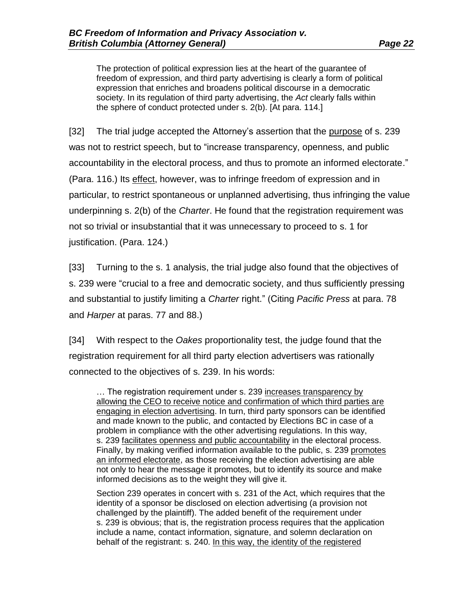The protection of political expression lies at the heart of the guarantee of freedom of expression, and third party advertising is clearly a form of political expression that enriches and broadens political discourse in a democratic society. In its regulation of third party advertising, the *Act* clearly falls within the sphere of conduct protected under s. 2(b). [At para. 114.]

[32] The trial judge accepted the Attorney's assertion that the purpose of s. 239 was not to restrict speech, but to "increase transparency, openness, and public accountability in the electoral process, and thus to promote an informed electorate." (Para. 116.) Its effect, however, was to infringe freedom of expression and in particular, to restrict spontaneous or unplanned advertising, thus infringing the value underpinning s. 2(b) of the *Charter*. He found that the registration requirement was not so trivial or insubstantial that it was unnecessary to proceed to s. 1 for justification. (Para. 124.)

[33] Turning to the s. 1 analysis, the trial judge also found that the objectives of s. 239 were "crucial to a free and democratic society, and thus sufficiently pressing and substantial to justify limiting a *Charter* right." (Citing *Pacific Press* at para. 78 and *Harper* at paras. 77 and 88.)

[34] With respect to the *Oakes* proportionality test, the judge found that the registration requirement for all third party election advertisers was rationally connected to the objectives of s. 239. In his words:

… The registration requirement under s. 239 increases transparency by allowing the CEO to receive notice and confirmation of which third parties are engaging in election advertising. In turn, third party sponsors can be identified and made known to the public, and contacted by Elections BC in case of a problem in compliance with the other advertising regulations. In this way, s. 239 facilitates openness and public accountability in the electoral process. Finally, by making verified information available to the public, s. 239 promotes an informed electorate, as those receiving the election advertising are able not only to hear the message it promotes, but to identify its source and make informed decisions as to the weight they will give it.

Section 239 operates in concert with s. 231 of the Act, which requires that the identity of a sponsor be disclosed on election advertising (a provision not challenged by the plaintiff). The added benefit of the requirement under s. 239 is obvious; that is, the registration process requires that the application include a name, contact information, signature, and solemn declaration on behalf of the registrant: s. 240. In this way, the identity of the registered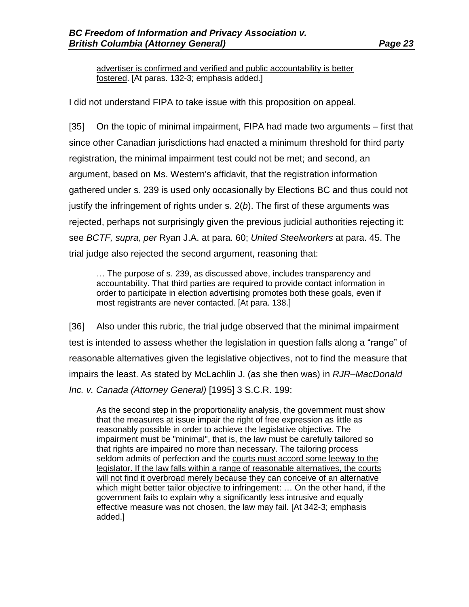advertiser is confirmed and verified and public accountability is better fostered. [At paras. 132-3; emphasis added.]

I did not understand FIPA to take issue with this proposition on appeal.

[35] On the topic of minimal impairment, FIPA had made two arguments – first that since other Canadian jurisdictions had enacted a minimum threshold for third party registration, the minimal impairment test could not be met; and second, an argument, based on Ms. Western's affidavit, that the registration information gathered under s. 239 is used only occasionally by Elections BC and thus could not justify the infringement of rights under s. 2(*b*). The first of these arguments was rejected, perhaps not surprisingly given the previous judicial authorities rejecting it: see *BCTF, supra, per* Ryan J.A. at para. 60; *United Steelworkers* at para. 45. The trial judge also rejected the second argument, reasoning that:

… The purpose of s. 239, as discussed above, includes transparency and accountability. That third parties are required to provide contact information in order to participate in election advertising promotes both these goals, even if most registrants are never contacted. [At para. 138.]

[36] Also under this rubric, the trial judge observed that the minimal impairment test is intended to assess whether the legislation in question falls along a "range" of reasonable alternatives given the legislative objectives, not to find the measure that impairs the least. As stated by McLachlin J. (as she then was) in *RJR–MacDonald Inc. v. Canada (Attorney General)* [1995] 3 S.C.R. 199:

As the second step in the proportionality analysis, the government must show that the measures at issue impair the right of free expression as little as reasonably possible in order to achieve the legislative objective. The impairment must be "minimal", that is, the law must be carefully tailored so that rights are impaired no more than necessary. The tailoring process seldom admits of perfection and the courts must accord some leeway to the legislator. If the law falls within a range of reasonable alternatives, the courts will not find it overbroad merely because they can conceive of an alternative which might better tailor objective to infringement: … On the other hand, if the government fails to explain why a significantly less intrusive and equally effective measure was not chosen, the law may fail. [At 342-3; emphasis added.]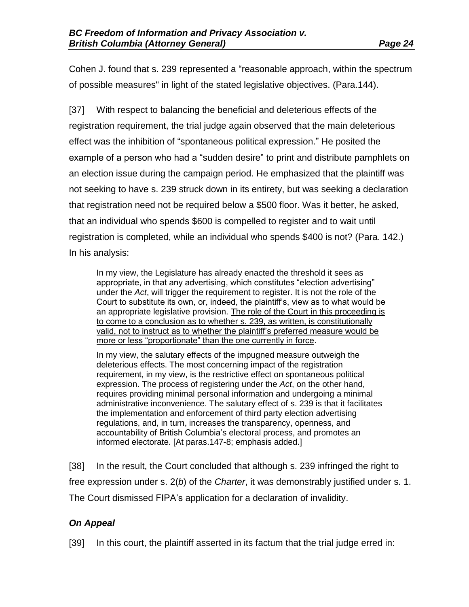Cohen J. found that s. 239 represented a "reasonable approach, within the spectrum of possible measures" in light of the stated legislative objectives. (Para.144).

[37] With respect to balancing the beneficial and deleterious effects of the registration requirement, the trial judge again observed that the main deleterious effect was the inhibition of "spontaneous political expression." He posited the example of a person who had a "sudden desire" to print and distribute pamphlets on an election issue during the campaign period. He emphasized that the plaintiff was not seeking to have s. 239 struck down in its entirety, but was seeking a declaration that registration need not be required below a \$500 floor. Was it better, he asked, that an individual who spends \$600 is compelled to register and to wait until registration is completed, while an individual who spends \$400 is not? (Para. 142.) In his analysis:

In my view, the Legislature has already enacted the threshold it sees as appropriate, in that any advertising, which constitutes "election advertising" under the *Act*, will trigger the requirement to register. It is not the role of the Court to substitute its own, or, indeed, the plaintiff's, view as to what would be an appropriate legislative provision. The role of the Court in this proceeding is to come to a conclusion as to whether s. 239, as written, is constitutionally valid, not to instruct as to whether the plaintiff's preferred measure would be more or less "proportionate" than the one currently in force.

In my view, the salutary effects of the impugned measure outweigh the deleterious effects. The most concerning impact of the registration requirement, in my view, is the restrictive effect on spontaneous political expression. The process of registering under the *Act*, on the other hand, requires providing minimal personal information and undergoing a minimal administrative inconvenience. The salutary effect of s. 239 is that it facilitates the implementation and enforcement of third party election advertising regulations, and, in turn, increases the transparency, openness, and accountability of British Columbia's electoral process, and promotes an informed electorate. [At paras.147-8; emphasis added.]

[38] In the result, the Court concluded that although s. 239 infringed the right to free expression under s. 2(*b*) of the *Charter*, it was demonstrably justified under s. 1. The Court dismissed FIPA's application for a declaration of invalidity.

## *On Appeal*

[39] In this court, the plaintiff asserted in its factum that the trial judge erred in: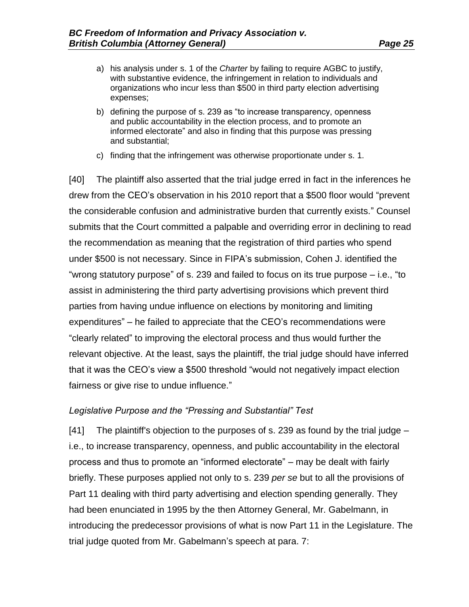expenses;

- a) his analysis under s. 1 of the *Charter* by failing to require AGBC to justify, with substantive evidence, the infringement in relation to individuals and organizations who incur less than \$500 in third party election advertising
- b) defining the purpose of s. 239 as "to increase transparency, openness and public accountability in the election process, and to promote an informed electorate" and also in finding that this purpose was pressing and substantial;
- c) finding that the infringement was otherwise proportionate under s. 1.

[40] The plaintiff also asserted that the trial judge erred in fact in the inferences he drew from the CEO's observation in his 2010 report that a \$500 floor would "prevent the considerable confusion and administrative burden that currently exists." Counsel submits that the Court committed a palpable and overriding error in declining to read the recommendation as meaning that the registration of third parties who spend under \$500 is not necessary. Since in FIPA's submission, Cohen J. identified the "wrong statutory purpose" of s. 239 and failed to focus on its true purpose – i.e., "to assist in administering the third party advertising provisions which prevent third parties from having undue influence on elections by monitoring and limiting expenditures" – he failed to appreciate that the CEO's recommendations were "clearly related" to improving the electoral process and thus would further the relevant objective. At the least, says the plaintiff, the trial judge should have inferred that it was the CEO's view a \$500 threshold "would not negatively impact election fairness or give rise to undue influence."

### *Legislative Purpose and the "Pressing and Substantial" Test*

[41] The plaintiff's objection to the purposes of s. 239 as found by the trial judge – i.e., to increase transparency, openness, and public accountability in the electoral process and thus to promote an "informed electorate" – may be dealt with fairly briefly. These purposes applied not only to s. 239 *per se* but to all the provisions of Part 11 dealing with third party advertising and election spending generally. They had been enunciated in 1995 by the then Attorney General, Mr. Gabelmann, in introducing the predecessor provisions of what is now Part 11 in the Legislature. The trial judge quoted from Mr. Gabelmann's speech at para. 7: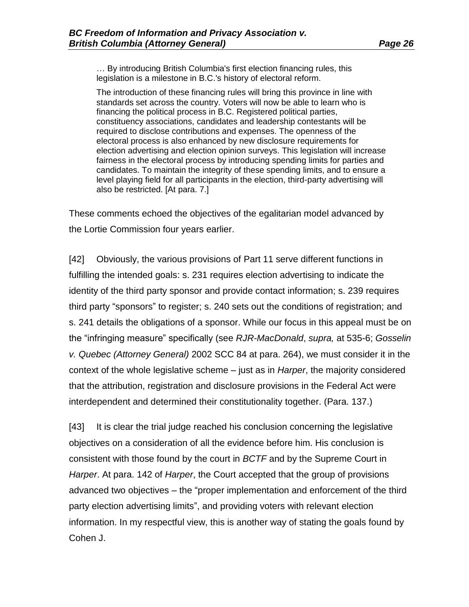… By introducing British Columbia's first election financing rules, this legislation is a milestone in B.C.'s history of electoral reform.

The introduction of these financing rules will bring this province in line with standards set across the country. Voters will now be able to learn who is financing the political process in B.C. Registered political parties, constituency associations, candidates and leadership contestants will be required to disclose contributions and expenses. The openness of the electoral process is also enhanced by new disclosure requirements for election advertising and election opinion surveys. This legislation will increase fairness in the electoral process by introducing spending limits for parties and candidates. To maintain the integrity of these spending limits, and to ensure a level playing field for all participants in the election, third-party advertising will also be restricted. [At para. 7.]

These comments echoed the objectives of the egalitarian model advanced by the Lortie Commission four years earlier.

[42] Obviously, the various provisions of Part 11 serve different functions in fulfilling the intended goals: s. 231 requires election advertising to indicate the identity of the third party sponsor and provide contact information; s. 239 requires third party "sponsors" to register; s. 240 sets out the conditions of registration; and s. 241 details the obligations of a sponsor. While our focus in this appeal must be on the "infringing measure" specifically (see *RJR-MacDonald*, *supra,* at 535-6; *Gosselin v. Quebec (Attorney General)* 2002 SCC 84 at para. 264), we must consider it in the context of the whole legislative scheme – just as in *Harper*, the majority considered that the attribution, registration and disclosure provisions in the Federal Act were interdependent and determined their constitutionality together. (Para. 137.)

[43] It is clear the trial judge reached his conclusion concerning the legislative objectives on a consideration of all the evidence before him. His conclusion is consistent with those found by the court in *BCTF* and by the Supreme Court in *Harper*. At para. 142 of *Harper*, the Court accepted that the group of provisions advanced two objectives – the "proper implementation and enforcement of the third party election advertising limits", and providing voters with relevant election information. In my respectful view, this is another way of stating the goals found by Cohen J.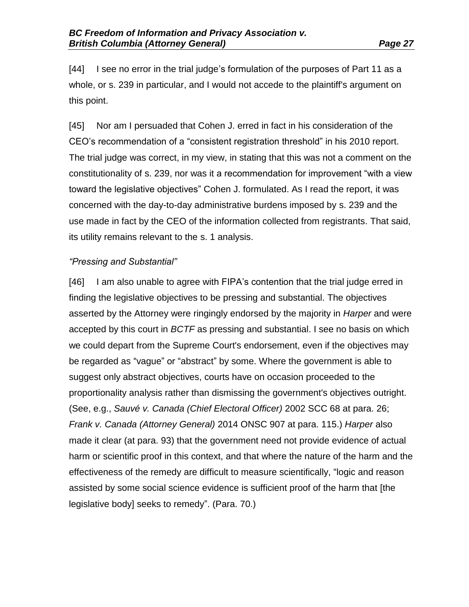[44] I see no error in the trial judge's formulation of the purposes of Part 11 as a whole, or s. 239 in particular, and I would not accede to the plaintiff's argument on this point.

[45] Nor am I persuaded that Cohen J. erred in fact in his consideration of the CEO's recommendation of a "consistent registration threshold" in his 2010 report. The trial judge was correct, in my view, in stating that this was not a comment on the constitutionality of s. 239, nor was it a recommendation for improvement "with a view toward the legislative objectives" Cohen J. formulated. As I read the report, it was concerned with the day-to-day administrative burdens imposed by s. 239 and the use made in fact by the CEO of the information collected from registrants. That said, its utility remains relevant to the s. 1 analysis.

### *"Pressing and Substantial"*

[46] I am also unable to agree with FIPA's contention that the trial judge erred in finding the legislative objectives to be pressing and substantial. The objectives asserted by the Attorney were ringingly endorsed by the majority in *Harper* and were accepted by this court in *BCTF* as pressing and substantial. I see no basis on which we could depart from the Supreme Court's endorsement, even if the objectives may be regarded as "vague" or "abstract" by some. Where the government is able to suggest only abstract objectives, courts have on occasion proceeded to the proportionality analysis rather than dismissing the government's objectives outright. (See, e.g., *Sauvé v. Canada (Chief Electoral Officer)* 2002 SCC 68 at para. 26; *Frank v. Canada (Attorney General)* 2014 ONSC 907 at para. 115.) *Harper* also made it clear (at para. 93) that the government need not provide evidence of actual harm or scientific proof in this context, and that where the nature of the harm and the effectiveness of the remedy are difficult to measure scientifically, "logic and reason assisted by some social science evidence is sufficient proof of the harm that [the legislative body] seeks to remedy". (Para. 70.)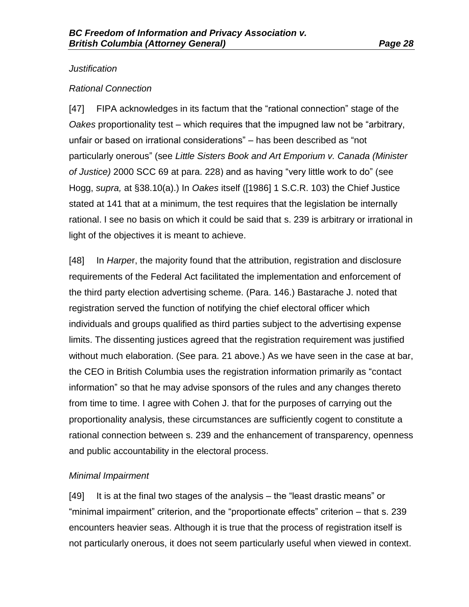### *Justification*

### *Rational Connection*

[47] FIPA acknowledges in its factum that the "rational connection" stage of the *Oakes* proportionality test – which requires that the impugned law not be "arbitrary, unfair or based on irrational considerations" – has been described as "not particularly onerous" (see *Little Sisters Book and Art Emporium v. Canada (Minister of Justice)* 2000 SCC 69 at para. 228) and as having "very little work to do" (see Hogg, *supra,* at §38.10(a).) In *Oakes* itself ([1986] 1 S.C.R. 103) the Chief Justice stated at 141 that at a minimum, the test requires that the legislation be internally rational. I see no basis on which it could be said that s. 239 is arbitrary or irrational in light of the objectives it is meant to achieve.

[48] In *Harpe*r, the majority found that the attribution, registration and disclosure requirements of the Federal Act facilitated the implementation and enforcement of the third party election advertising scheme. (Para. 146.) Bastarache J. noted that registration served the function of notifying the chief electoral officer which individuals and groups qualified as third parties subject to the advertising expense limits. The dissenting justices agreed that the registration requirement was justified without much elaboration. (See para. 21 above.) As we have seen in the case at bar, the CEO in British Columbia uses the registration information primarily as "contact information" so that he may advise sponsors of the rules and any changes thereto from time to time. I agree with Cohen J. that for the purposes of carrying out the proportionality analysis, these circumstances are sufficiently cogent to constitute a rational connection between s. 239 and the enhancement of transparency, openness and public accountability in the electoral process.

### *Minimal Impairment*

[49] It is at the final two stages of the analysis – the "least drastic means" or "minimal impairment" criterion, and the "proportionate effects" criterion – that s. 239 encounters heavier seas. Although it is true that the process of registration itself is not particularly onerous, it does not seem particularly useful when viewed in context.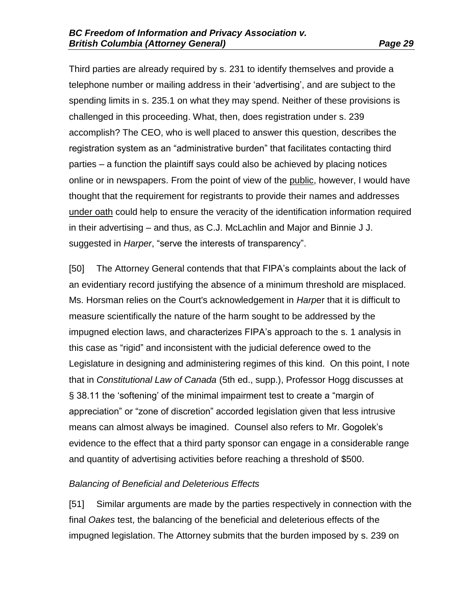Third parties are already required by s. 231 to identify themselves and provide a telephone number or mailing address in their 'advertising', and are subject to the spending limits in s. 235.1 on what they may spend. Neither of these provisions is challenged in this proceeding. What, then, does registration under s. 239 accomplish? The CEO, who is well placed to answer this question, describes the registration system as an "administrative burden" that facilitates contacting third parties – a function the plaintiff says could also be achieved by placing notices online or in newspapers. From the point of view of the public, however, I would have thought that the requirement for registrants to provide their names and addresses under oath could help to ensure the veracity of the identification information required in their advertising – and thus, as C.J. McLachlin and Major and Binnie J J. suggested in *Harper*, "serve the interests of transparency".

[50] The Attorney General contends that that FIPA's complaints about the lack of an evidentiary record justifying the absence of a minimum threshold are misplaced. Ms. Horsman relies on the Court's acknowledgement in *Harp*er that it is difficult to measure scientifically the nature of the harm sought to be addressed by the impugned election laws, and characterizes FIPA's approach to the s. 1 analysis in this case as "rigid" and inconsistent with the judicial deference owed to the Legislature in designing and administering regimes of this kind. On this point, I note that in *Constitutional Law of Canada* (5th ed., supp.), Professor Hogg discusses at § 38.11 the 'softening' of the minimal impairment test to create a "margin of appreciation" or "zone of discretion" accorded legislation given that less intrusive means can almost always be imagined. Counsel also refers to Mr. Gogolek's evidence to the effect that a third party sponsor can engage in a considerable range and quantity of advertising activities before reaching a threshold of \$500.

### *Balancing of Beneficial and Deleterious Effects*

[51] Similar arguments are made by the parties respectively in connection with the final *Oakes* test, the balancing of the beneficial and deleterious effects of the impugned legislation. The Attorney submits that the burden imposed by s. 239 on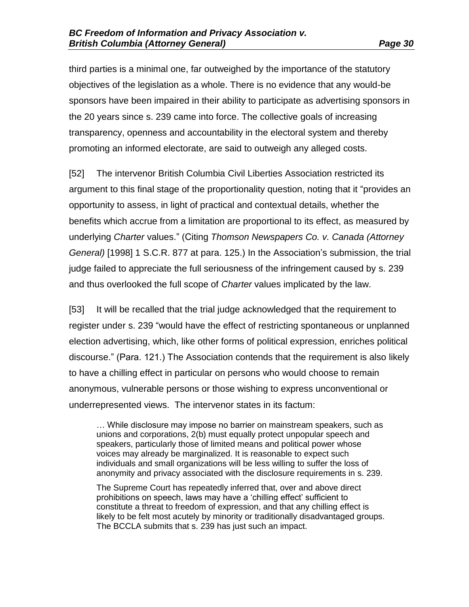third parties is a minimal one, far outweighed by the importance of the statutory objectives of the legislation as a whole. There is no evidence that any would-be sponsors have been impaired in their ability to participate as advertising sponsors in the 20 years since s. 239 came into force. The collective goals of increasing transparency, openness and accountability in the electoral system and thereby promoting an informed electorate, are said to outweigh any alleged costs.

[52] The intervenor British Columbia Civil Liberties Association restricted its argument to this final stage of the proportionality question, noting that it "provides an opportunity to assess, in light of practical and contextual details, whether the benefits which accrue from a limitation are proportional to its effect, as measured by underlying *Charter* values." (Citing *Thomson Newspapers Co. v. Canada (Attorney General)* [1998] 1 S.C.R. 877 at para. 125.) In the Association's submission, the trial judge failed to appreciate the full seriousness of the infringement caused by s. 239 and thus overlooked the full scope of *Charter* values implicated by the law.

[53] It will be recalled that the trial judge acknowledged that the requirement to register under s. 239 "would have the effect of restricting spontaneous or unplanned election advertising, which, like other forms of political expression, enriches political discourse." (Para. 121.) The Association contends that the requirement is also likely to have a chilling effect in particular on persons who would choose to remain anonymous, vulnerable persons or those wishing to express unconventional or underrepresented views. The intervenor states in its factum:

… While disclosure may impose no barrier on mainstream speakers, such as unions and corporations, 2(b) must equally protect unpopular speech and speakers, particularly those of limited means and political power whose voices may already be marginalized. It is reasonable to expect such individuals and small organizations will be less willing to suffer the loss of anonymity and privacy associated with the disclosure requirements in s. 239.

The Supreme Court has repeatedly inferred that, over and above direct prohibitions on speech, laws may have a 'chilling effect' sufficient to constitute a threat to freedom of expression, and that any chilling effect is likely to be felt most acutely by minority or traditionally disadvantaged groups. The BCCLA submits that s. 239 has just such an impact.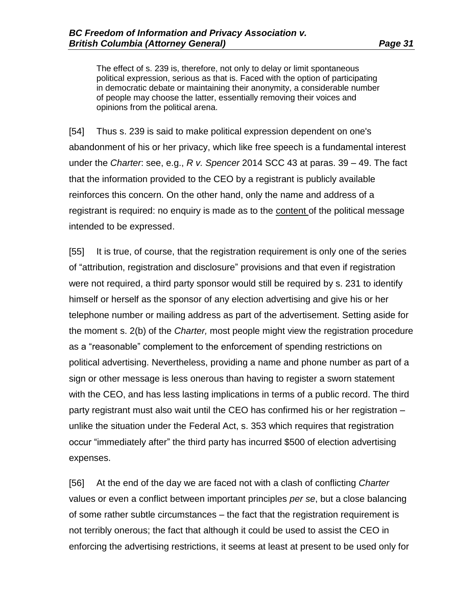The effect of s. 239 is, therefore, not only to delay or limit spontaneous political expression, serious as that is. Faced with the option of participating in democratic debate or maintaining their anonymity, a considerable number of people may choose the latter, essentially removing their voices and opinions from the political arena.

[54] Thus s. 239 is said to make political expression dependent on one's abandonment of his or her privacy, which like free speech is a fundamental interest under the *Charter*: see, e.g., *R v. Spencer* 2014 SCC 43 at paras. 39 – 49. The fact that the information provided to the CEO by a registrant is publicly available reinforces this concern. On the other hand, only the name and address of a registrant is required: no enquiry is made as to the content of the political message intended to be expressed.

[55] It is true, of course, that the registration requirement is only one of the series of "attribution, registration and disclosure" provisions and that even if registration were not required, a third party sponsor would still be required by s. 231 to identify himself or herself as the sponsor of any election advertising and give his or her telephone number or mailing address as part of the advertisement. Setting aside for the moment s. 2(b) of the *Charter,* most people might view the registration procedure as a "reasonable" complement to the enforcement of spending restrictions on political advertising. Nevertheless, providing a name and phone number as part of a sign or other message is less onerous than having to register a sworn statement with the CEO, and has less lasting implications in terms of a public record. The third party registrant must also wait until the CEO has confirmed his or her registration – unlike the situation under the Federal Act, s. 353 which requires that registration occur "immediately after" the third party has incurred \$500 of election advertising expenses.

[56] At the end of the day we are faced not with a clash of conflicting *Charter* values or even a conflict between important principles *per se*, but a close balancing of some rather subtle circumstances – the fact that the registration requirement is not terribly onerous; the fact that although it could be used to assist the CEO in enforcing the advertising restrictions, it seems at least at present to be used only for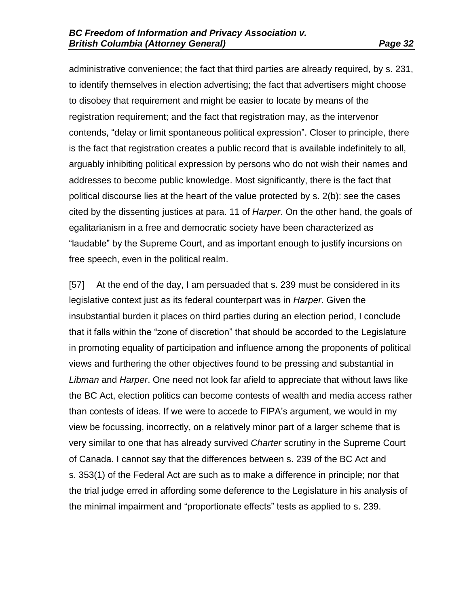administrative convenience; the fact that third parties are already required, by s. 231, to identify themselves in election advertising; the fact that advertisers might choose to disobey that requirement and might be easier to locate by means of the registration requirement; and the fact that registration may, as the intervenor contends, "delay or limit spontaneous political expression". Closer to principle, there is the fact that registration creates a public record that is available indefinitely to all, arguably inhibiting political expression by persons who do not wish their names and addresses to become public knowledge. Most significantly, there is the fact that political discourse lies at the heart of the value protected by s. 2(b): see the cases cited by the dissenting justices at para. 11 of *Harper*. On the other hand, the goals of egalitarianism in a free and democratic society have been characterized as "laudable" by the Supreme Court, and as important enough to justify incursions on free speech, even in the political realm.

[57] At the end of the day, I am persuaded that s. 239 must be considered in its legislative context just as its federal counterpart was in *Harper*. Given the insubstantial burden it places on third parties during an election period, I conclude that it falls within the "zone of discretion" that should be accorded to the Legislature in promoting equality of participation and influence among the proponents of political views and furthering the other objectives found to be pressing and substantial in *Libman* and *Harper*. One need not look far afield to appreciate that without laws like the BC Act, election politics can become contests of wealth and media access rather than contests of ideas. If we were to accede to FIPA's argument, we would in my view be focussing, incorrectly, on a relatively minor part of a larger scheme that is very similar to one that has already survived *Charter* scrutiny in the Supreme Court of Canada. I cannot say that the differences between s. 239 of the BC Act and s. 353(1) of the Federal Act are such as to make a difference in principle; nor that the trial judge erred in affording some deference to the Legislature in his analysis of the minimal impairment and "proportionate effects" tests as applied to s. 239.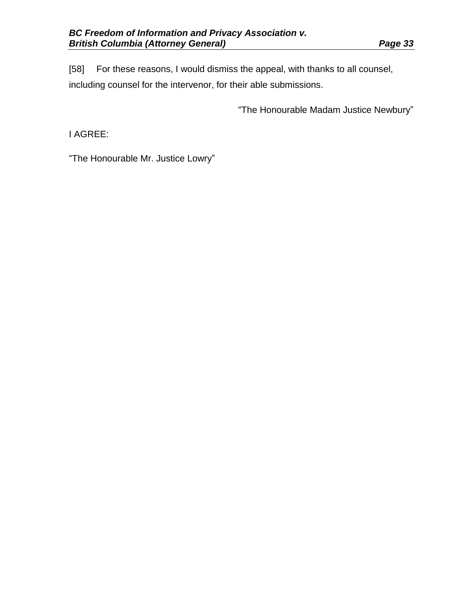[58] For these reasons, I would dismiss the appeal, with thanks to all counsel, including counsel for the intervenor, for their able submissions.

"The Honourable Madam Justice Newbury"

I AGREE:

"The Honourable Mr. Justice Lowry"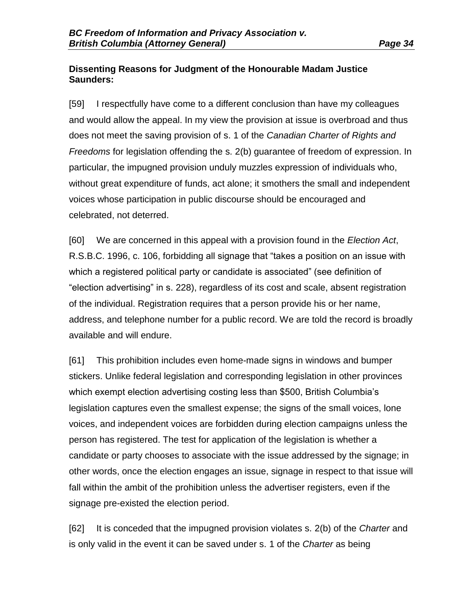### **Dissenting Reasons for Judgment of the Honourable Madam Justice Saunders:**

[59] I respectfully have come to a different conclusion than have my colleagues and would allow the appeal. In my view the provision at issue is overbroad and thus does not meet the saving provision of s. 1 of the *Canadian Charter of Rights and Freedoms* for legislation offending the s. 2(b) guarantee of freedom of expression. In particular, the impugned provision unduly muzzles expression of individuals who, without great expenditure of funds, act alone; it smothers the small and independent voices whose participation in public discourse should be encouraged and celebrated, not deterred.

[60] We are concerned in this appeal with a provision found in the *Election Act*, R.S.B.C. 1996, c. 106, forbidding all signage that "takes a position on an issue with which a registered political party or candidate is associated" (see definition of "election advertising" in s. 228), regardless of its cost and scale, absent registration of the individual. Registration requires that a person provide his or her name, address, and telephone number for a public record. We are told the record is broadly available and will endure.

[61] This prohibition includes even home-made signs in windows and bumper stickers. Unlike federal legislation and corresponding legislation in other provinces which exempt election advertising costing less than \$500, British Columbia's legislation captures even the smallest expense; the signs of the small voices, lone voices, and independent voices are forbidden during election campaigns unless the person has registered. The test for application of the legislation is whether a candidate or party chooses to associate with the issue addressed by the signage; in other words, once the election engages an issue, signage in respect to that issue will fall within the ambit of the prohibition unless the advertiser registers, even if the signage pre-existed the election period.

[62] It is conceded that the impugned provision violates s. 2(b) of the *Charter* and is only valid in the event it can be saved under s. 1 of the *Charter* as being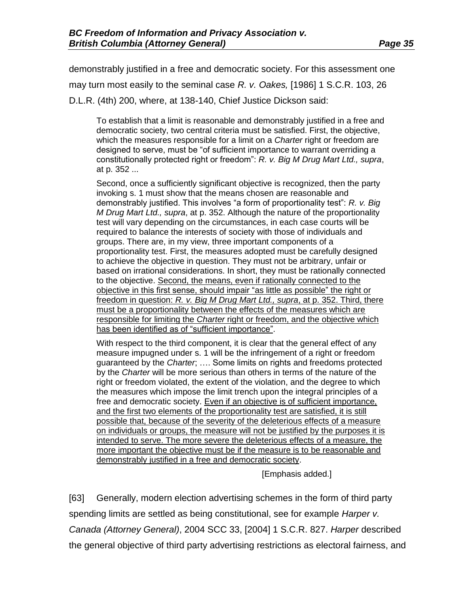demonstrably justified in a free and democratic society. For this assessment one may turn most easily to the seminal case *R. v. Oakes,* [1986] 1 S.C.R. 103, 26 D.L.R. (4th) 200, where, at 138-140, Chief Justice Dickson said:

To establish that a limit is reasonable and demonstrably justified in a free and democratic society, two central criteria must be satisfied. First, the objective, which the measures responsible for a limit on a *Charter* right or freedom are designed to serve, must be "of sufficient importance to warrant overriding a constitutionally protected right or freedom": *R. v. Big M Drug Mart Ltd., supra*, at p. 352 ...

Second, once a sufficiently significant objective is recognized, then the party invoking s. 1 must show that the means chosen are reasonable and demonstrably justified. This involves "a form of proportionality test": *R. v. Big M Drug Mart Ltd., supra*, at p. 352. Although the nature of the proportionality test will vary depending on the circumstances, in each case courts will be required to balance the interests of society with those of individuals and groups. There are, in my view, three important components of a proportionality test. First, the measures adopted must be carefully designed to achieve the objective in question. They must not be arbitrary, unfair or based on irrational considerations. In short, they must be rationally connected to the objective. Second, the means, even if rationally connected to the objective in this first sense, should impair "as little as possible" the right or freedom in question: *R. v. Big M Drug Mart Ltd., supra*, at p. 352. Third, there must be a proportionality between the effects of the measures which are responsible for limiting the *Charter* right or freedom, and the objective which has been identified as of "sufficient importance".

With respect to the third component, it is clear that the general effect of any measure impugned under s. 1 will be the infringement of a right or freedom guaranteed by the *Charter*; …. Some limits on rights and freedoms protected by the *Charter* will be more serious than others in terms of the nature of the right or freedom violated, the extent of the violation, and the degree to which the measures which impose the limit trench upon the integral principles of a free and democratic society. Even if an objective is of sufficient importance, and the first two elements of the proportionality test are satisfied, it is still possible that, because of the severity of the deleterious effects of a measure on individuals or groups, the measure will not be justified by the purposes it is intended to serve. The more severe the deleterious effects of a measure, the more important the objective must be if the measure is to be reasonable and demonstrably justified in a free and democratic society.

[Emphasis added.]

[63] Generally, modern election advertising schemes in the form of third party spending limits are settled as being constitutional, see for example *Harper v. Canada (Attorney General)*, 2004 SCC 33, [2004] 1 S.C.R. 827. *Harper* described the general objective of third party advertising restrictions as electoral fairness, and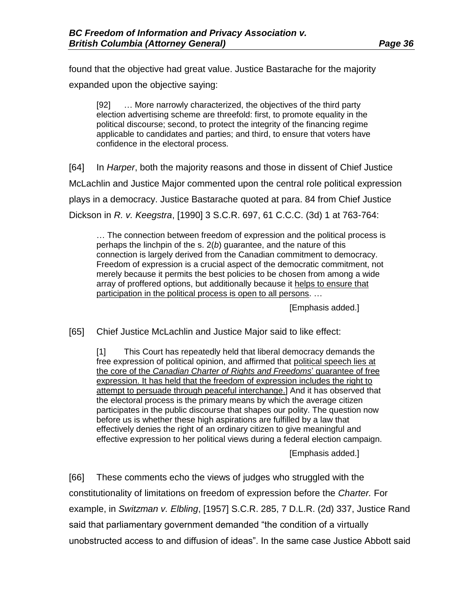found that the objective had great value. Justice Bastarache for the majority expanded upon the objective saying:

[92] … More narrowly characterized, the objectives of the third party election advertising scheme are threefold: first, to promote equality in the political discourse; second, to protect the integrity of the financing regime applicable to candidates and parties; and third, to ensure that voters have confidence in the electoral process.

[64] In *Harper*, both the majority reasons and those in dissent of Chief Justice McLachlin and Justice Major commented upon the central role political expression plays in a democracy. Justice Bastarache quoted at para. 84 from Chief Justice Dickson in *R. v. Keegstra*, [1990] 3 S.C.R. 697, 61 C.C.C. (3d) 1 at 763-764:

… The connection between freedom of expression and the political process is perhaps the linchpin of the s. 2(*b*) guarantee, and the nature of this connection is largely derived from the Canadian commitment to democracy. Freedom of expression is a crucial aspect of the democratic commitment, not merely because it permits the best policies to be chosen from among a wide array of proffered options, but additionally because it helps to ensure that participation in the political process is open to all persons. …

[Emphasis added.]

[65] Chief Justice McLachlin and Justice Major said to like effect:

[1] This Court has repeatedly held that liberal democracy demands the free expression of political opinion, and affirmed that political speech lies at the core of the *Canadian Charter of Rights and Freedoms*' guarantee of free expression. It has held that the freedom of expression includes the right to attempt to persuade through peaceful interchange.] And it has observed that the electoral process is the primary means by which the average citizen participates in the public discourse that shapes our polity. The question now before us is whether these high aspirations are fulfilled by a law that effectively denies the right of an ordinary citizen to give meaningful and effective expression to her political views during a federal election campaign.

[Emphasis added.]

[66] These comments echo the views of judges who struggled with the constitutionality of limitations on freedom of expression before the *Charter.* For example, in *Switzman v. Elbling*, [1957] S.C.R. 285, 7 D.L.R. (2d) 337, Justice Rand said that parliamentary government demanded "the condition of a virtually unobstructed access to and diffusion of ideas". In the same case Justice Abbott said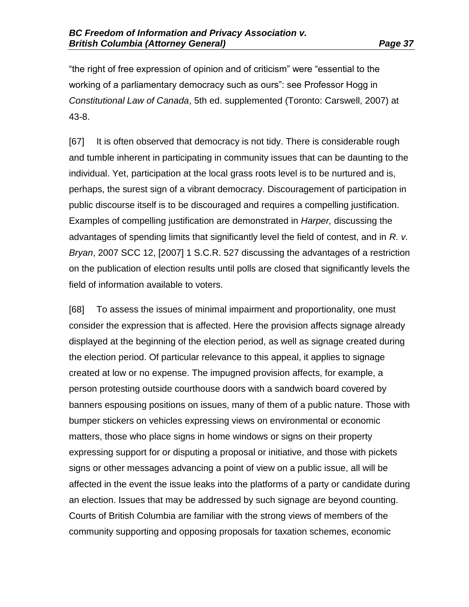"the right of free expression of opinion and of criticism" were "essential to the working of a parliamentary democracy such as ours": see Professor Hogg in *Constitutional Law of Canada*, 5th ed. supplemented (Toronto: Carswell, 2007) at 43-8.

[67] It is often observed that democracy is not tidy. There is considerable rough and tumble inherent in participating in community issues that can be daunting to the individual. Yet, participation at the local grass roots level is to be nurtured and is, perhaps, the surest sign of a vibrant democracy. Discouragement of participation in public discourse itself is to be discouraged and requires a compelling justification. Examples of compelling justification are demonstrated in *Harper,* discussing the advantages of spending limits that significantly level the field of contest, and in *R. v. Bryan*, 2007 SCC 12, [2007] 1 S.C.R. 527 discussing the advantages of a restriction on the publication of election results until polls are closed that significantly levels the field of information available to voters.

[68] To assess the issues of minimal impairment and proportionality, one must consider the expression that is affected. Here the provision affects signage already displayed at the beginning of the election period, as well as signage created during the election period. Of particular relevance to this appeal, it applies to signage created at low or no expense. The impugned provision affects, for example, a person protesting outside courthouse doors with a sandwich board covered by banners espousing positions on issues, many of them of a public nature. Those with bumper stickers on vehicles expressing views on environmental or economic matters, those who place signs in home windows or signs on their property expressing support for or disputing a proposal or initiative, and those with pickets signs or other messages advancing a point of view on a public issue, all will be affected in the event the issue leaks into the platforms of a party or candidate during an election. Issues that may be addressed by such signage are beyond counting. Courts of British Columbia are familiar with the strong views of members of the community supporting and opposing proposals for taxation schemes, economic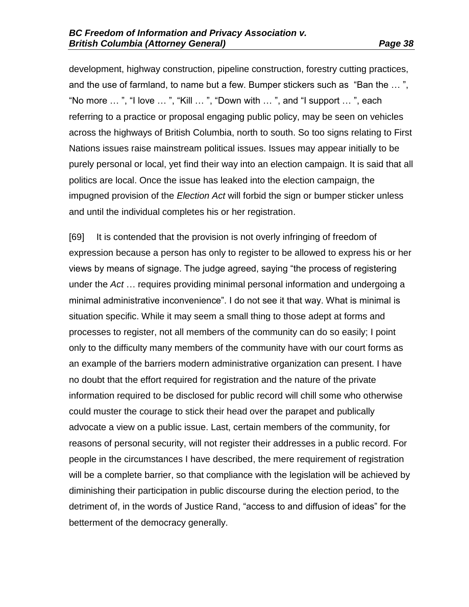development, highway construction, pipeline construction, forestry cutting practices, and the use of farmland, to name but a few. Bumper stickers such as "Ban the … ", "No more  $\ldots$ ", "I love  $\ldots$ ", "Kill  $\ldots$ ", "Down with  $\ldots$ ", and "I support  $\ldots$ ", each referring to a practice or proposal engaging public policy, may be seen on vehicles across the highways of British Columbia, north to south. So too signs relating to First Nations issues raise mainstream political issues. Issues may appear initially to be purely personal or local, yet find their way into an election campaign. It is said that all politics are local. Once the issue has leaked into the election campaign, the impugned provision of the *Election Act* will forbid the sign or bumper sticker unless and until the individual completes his or her registration.

[69] It is contended that the provision is not overly infringing of freedom of expression because a person has only to register to be allowed to express his or her views by means of signage. The judge agreed, saying "the process of registering under the *Act* … requires providing minimal personal information and undergoing a minimal administrative inconvenience". I do not see it that way. What is minimal is situation specific. While it may seem a small thing to those adept at forms and processes to register, not all members of the community can do so easily; I point only to the difficulty many members of the community have with our court forms as an example of the barriers modern administrative organization can present. I have no doubt that the effort required for registration and the nature of the private information required to be disclosed for public record will chill some who otherwise could muster the courage to stick their head over the parapet and publically advocate a view on a public issue. Last, certain members of the community, for reasons of personal security, will not register their addresses in a public record. For people in the circumstances I have described, the mere requirement of registration will be a complete barrier, so that compliance with the legislation will be achieved by diminishing their participation in public discourse during the election period, to the detriment of, in the words of Justice Rand, "access to and diffusion of ideas" for the betterment of the democracy generally.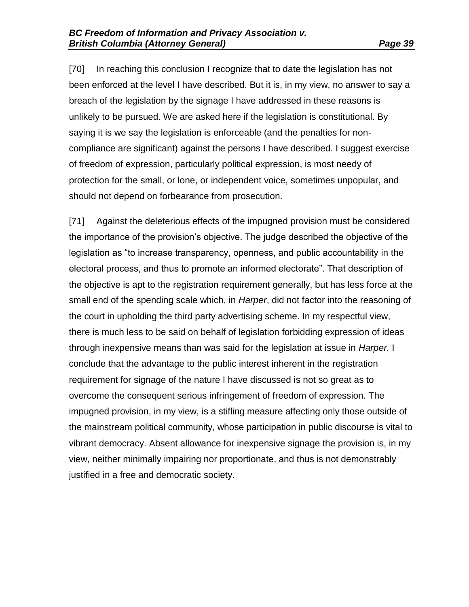[70] In reaching this conclusion I recognize that to date the legislation has not been enforced at the level I have described. But it is, in my view, no answer to say a breach of the legislation by the signage I have addressed in these reasons is unlikely to be pursued. We are asked here if the legislation is constitutional. By saying it is we say the legislation is enforceable (and the penalties for noncompliance are significant) against the persons I have described. I suggest exercise of freedom of expression, particularly political expression, is most needy of protection for the small, or lone, or independent voice, sometimes unpopular, and should not depend on forbearance from prosecution.

[71] Against the deleterious effects of the impugned provision must be considered the importance of the provision's objective. The judge described the objective of the legislation as "to increase transparency, openness, and public accountability in the electoral process, and thus to promote an informed electorate". That description of the objective is apt to the registration requirement generally, but has less force at the small end of the spending scale which, in *Harper*, did not factor into the reasoning of the court in upholding the third party advertising scheme. In my respectful view, there is much less to be said on behalf of legislation forbidding expression of ideas through inexpensive means than was said for the legislation at issue in *Harper.* I conclude that the advantage to the public interest inherent in the registration requirement for signage of the nature I have discussed is not so great as to overcome the consequent serious infringement of freedom of expression. The impugned provision, in my view, is a stifling measure affecting only those outside of the mainstream political community, whose participation in public discourse is vital to vibrant democracy. Absent allowance for inexpensive signage the provision is, in my view, neither minimally impairing nor proportionate, and thus is not demonstrably justified in a free and democratic society.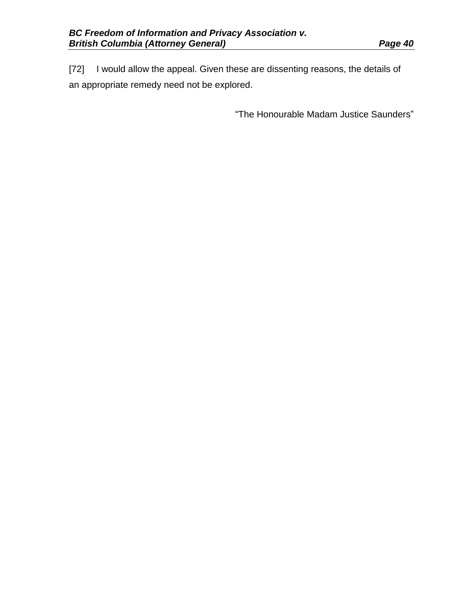[72] I would allow the appeal. Given these are dissenting reasons, the details of an appropriate remedy need not be explored.

"The Honourable Madam Justice Saunders"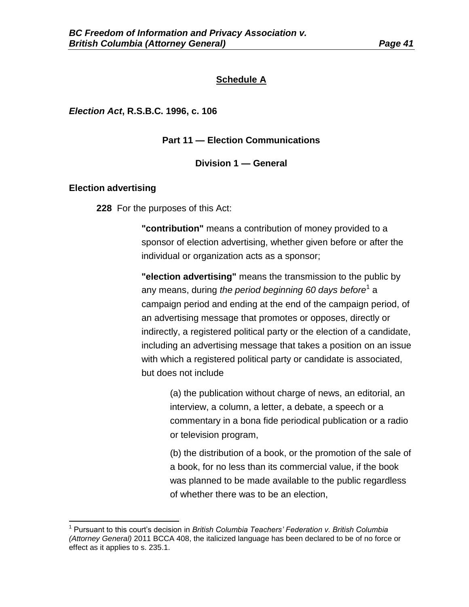#### **Schedule A**

*Election Act***, R.S.B.C. 1996, c. 106**

**Part 11 — Election Communications**

#### **Division 1 — General**

#### **Election advertising**

 $\overline{\phantom{a}}$ 

**228** For the purposes of this Act:

**"contribution"** means a contribution of money provided to a sponsor of election advertising, whether given before or after the individual or organization acts as a sponsor;

**"election advertising"** means the transmission to the public by any means, during *the period beginning 60 days before*<sup>1</sup> a campaign period and ending at the end of the campaign period, of an advertising message that promotes or opposes, directly or indirectly, a registered political party or the election of a candidate, including an advertising message that takes a position on an issue with which a registered political party or candidate is associated, but does not include

> (a) the publication without charge of news, an editorial, an interview, a column, a letter, a debate, a speech or a commentary in a bona fide periodical publication or a radio or television program,

> (b) the distribution of a book, or the promotion of the sale of a book, for no less than its commercial value, if the book was planned to be made available to the public regardless of whether there was to be an election,

<sup>&</sup>lt;sup>1</sup> Pursuant to this court's decision in *British Columbia Teachers' Federation v. British Columbia (Attorney General)* 2011 BCCA 408, the italicized language has been declared to be of no force or effect as it applies to s. 235.1.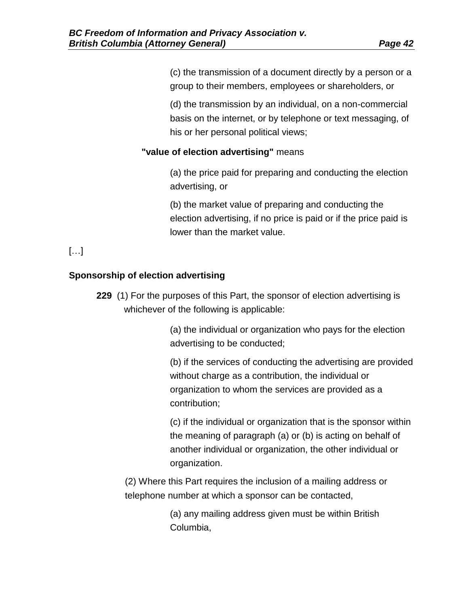(c) the transmission of a document directly by a person or a group to their members, employees or shareholders, or

(d) the transmission by an individual, on a non-commercial basis on the internet, or by telephone or text messaging, of his or her personal political views;

### **"value of election advertising"** means

(a) the price paid for preparing and conducting the election advertising, or

(b) the market value of preparing and conducting the election advertising, if no price is paid or if the price paid is lower than the market value.

[…]

## **Sponsorship of election advertising**

**229** (1) For the purposes of this Part, the sponsor of election advertising is whichever of the following is applicable:

> (a) the individual or organization who pays for the election advertising to be conducted;

(b) if the services of conducting the advertising are provided without charge as a contribution, the individual or organization to whom the services are provided as a contribution;

(c) if the individual or organization that is the sponsor within the meaning of paragraph (a) or (b) is acting on behalf of another individual or organization, the other individual or organization.

(2) Where this Part requires the inclusion of a mailing address or telephone number at which a sponsor can be contacted,

> (a) any mailing address given must be within British Columbia,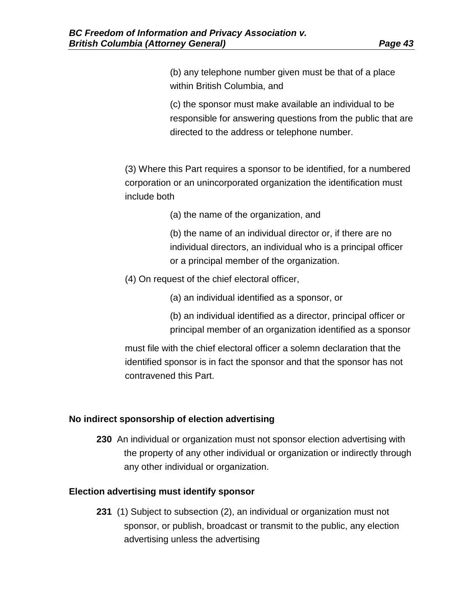(b) any telephone number given must be that of a place within British Columbia, and

(c) the sponsor must make available an individual to be responsible for answering questions from the public that are directed to the address or telephone number.

(3) Where this Part requires a sponsor to be identified, for a numbered corporation or an unincorporated organization the identification must include both

(a) the name of the organization, and

(b) the name of an individual director or, if there are no individual directors, an individual who is a principal officer or a principal member of the organization.

(4) On request of the chief electoral officer,

(a) an individual identified as a sponsor, or

(b) an individual identified as a director, principal officer or principal member of an organization identified as a sponsor

must file with the chief electoral officer a solemn declaration that the identified sponsor is in fact the sponsor and that the sponsor has not contravened this Part.

### **No indirect sponsorship of election advertising**

**230** An individual or organization must not sponsor election advertising with the property of any other individual or organization or indirectly through any other individual or organization.

### **Election advertising must identify sponsor**

**231** (1) Subject to subsection (2), an individual or organization must not sponsor, or publish, broadcast or transmit to the public, any election advertising unless the advertising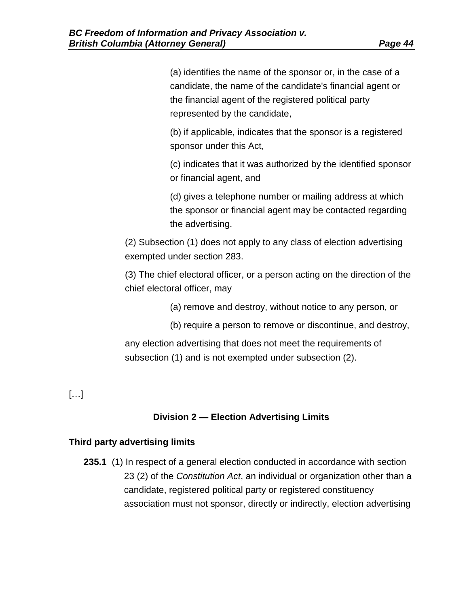(a) identifies the name of the sponsor or, in the case of a candidate, the name of the candidate's financial agent or the financial agent of the registered political party represented by the candidate,

(b) if applicable, indicates that the sponsor is a registered sponsor under this Act,

(c) indicates that it was authorized by the identified sponsor or financial agent, and

(d) gives a telephone number or mailing address at which the sponsor or financial agent may be contacted regarding the advertising.

(2) Subsection (1) does not apply to any class of election advertising exempted under section 283.

(3) The chief electoral officer, or a person acting on the direction of the chief electoral officer, may

(a) remove and destroy, without notice to any person, or

(b) require a person to remove or discontinue, and destroy,

any election advertising that does not meet the requirements of subsection (1) and is not exempted under subsection (2).

# […]

## **Division 2 — Election Advertising Limits**

### **Third party advertising limits**

**235.1** (1) In respect of a general election conducted in accordance with section 23 (2) of the *[Constitution Act](http://www.bclaws.ca/civix/document/id/complete/statreg/96066_01)*, an individual or organization other than a candidate, registered political party or registered constituency association must not sponsor, directly or indirectly, election advertising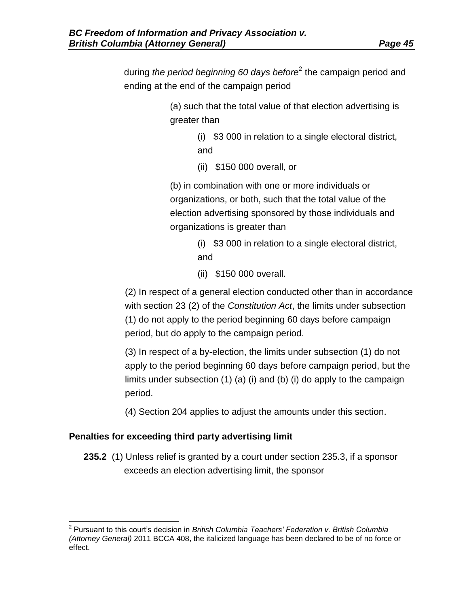during *the period beginning 60 days before*<sup>2</sup> the campaign period and ending at the end of the campaign period

> (a) such that the total value of that election advertising is greater than

> > (i) \$3 000 in relation to a single electoral district, and

(ii) \$150 000 overall, or

(b) in combination with one or more individuals or organizations, or both, such that the total value of the election advertising sponsored by those individuals and organizations is greater than

- (i) \$3 000 in relation to a single electoral district, and
- (ii) \$150 000 overall.

(2) In respect of a general election conducted other than in accordance with section 23 (2) of the *[Constitution Act](http://www.bclaws.ca/civix/document/id/complete/statreg/96066_01)*, the limits under subsection (1) do not apply to the period beginning 60 days before campaign period, but do apply to the campaign period.

(3) In respect of a by-election, the limits under subsection (1) do not apply to the period beginning 60 days before campaign period, but the limits under subsection (1) (a) (i) and (b) (i) do apply to the campaign period.

(4) Section 204 applies to adjust the amounts under this section.

### **Penalties for exceeding third party advertising limit**

 $\overline{\phantom{a}}$ 

**235.2** (1) Unless relief is granted by a court under section 235.3, if a sponsor exceeds an election advertising limit, the sponsor

<sup>2</sup> Pursuant to this court's decision in *British Columbia Teachers' Federation v. British Columbia (Attorney General)* 2011 BCCA 408, the italicized language has been declared to be of no force or effect.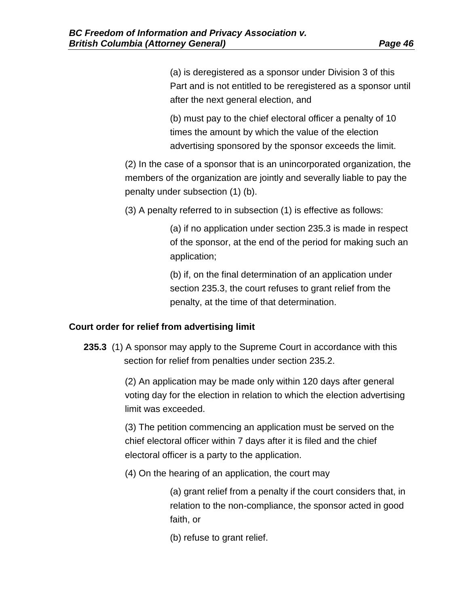(a) is deregistered as a sponsor under Division 3 of this Part and is not entitled to be reregistered as a sponsor until after the next general election, and

(b) must pay to the chief electoral officer a penalty of 10 times the amount by which the value of the election advertising sponsored by the sponsor exceeds the limit.

(2) In the case of a sponsor that is an unincorporated organization, the members of the organization are jointly and severally liable to pay the penalty under subsection (1) (b).

(3) A penalty referred to in subsection (1) is effective as follows:

(a) if no application under section 235.3 is made in respect of the sponsor, at the end of the period for making such an application;

(b) if, on the final determination of an application under section 235.3, the court refuses to grant relief from the penalty, at the time of that determination.

### **Court order for relief from advertising limit**

**235.3** (1) A sponsor may apply to the Supreme Court in accordance with this section for relief from penalties under section 235.2.

> (2) An application may be made only within 120 days after general voting day for the election in relation to which the election advertising limit was exceeded.

(3) The petition commencing an application must be served on the chief electoral officer within 7 days after it is filed and the chief electoral officer is a party to the application.

(4) On the hearing of an application, the court may

(a) grant relief from a penalty if the court considers that, in relation to the non-compliance, the sponsor acted in good faith, or

(b) refuse to grant relief.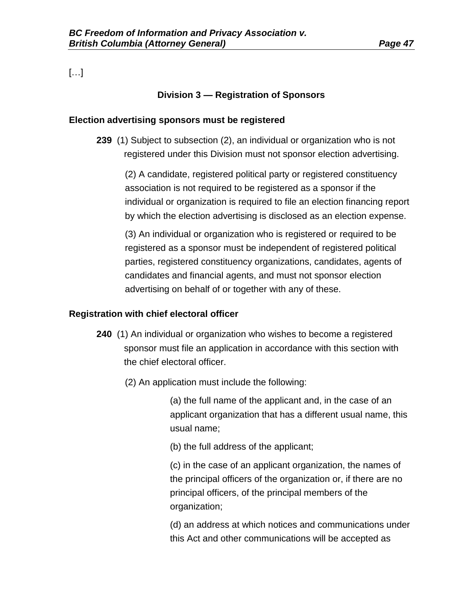[…]

## **Division 3 — Registration of Sponsors**

#### **Election advertising sponsors must be registered**

**239** (1) Subject to subsection (2), an individual or organization who is not registered under this Division must not sponsor election advertising.

(2) A candidate, registered political party or registered constituency association is not required to be registered as a sponsor if the individual or organization is required to file an election financing report by which the election advertising is disclosed as an election expense.

(3) An individual or organization who is registered or required to be registered as a sponsor must be independent of registered political parties, registered constituency organizations, candidates, agents of candidates and financial agents, and must not sponsor election advertising on behalf of or together with any of these.

#### **Registration with chief electoral officer**

- **240** (1) An individual or organization who wishes to become a registered sponsor must file an application in accordance with this section with the chief electoral officer.
	- (2) An application must include the following:

(a) the full name of the applicant and, in the case of an applicant organization that has a different usual name, this usual name;

(b) the full address of the applicant;

(c) in the case of an applicant organization, the names of the principal officers of the organization or, if there are no principal officers, of the principal members of the organization;

(d) an address at which notices and communications under this Act and other communications will be accepted as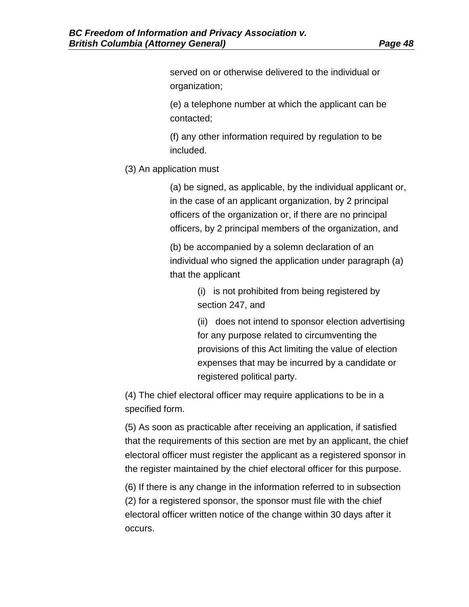served on or otherwise delivered to the individual or organization;

(e) a telephone number at which the applicant can be contacted;

(f) any other information required by regulation to be included.

(3) An application must

(a) be signed, as applicable, by the individual applicant or, in the case of an applicant organization, by 2 principal officers of the organization or, if there are no principal officers, by 2 principal members of the organization, and

(b) be accompanied by a solemn declaration of an individual who signed the application under paragraph (a) that the applicant

> (i) is not prohibited from being registered by section 247, and

(ii) does not intend to sponsor election advertising for any purpose related to circumventing the provisions of this Act limiting the value of election expenses that may be incurred by a candidate or registered political party.

(4) The chief electoral officer may require applications to be in a specified form.

(5) As soon as practicable after receiving an application, if satisfied that the requirements of this section are met by an applicant, the chief electoral officer must register the applicant as a registered sponsor in the register maintained by the chief electoral officer for this purpose.

(6) If there is any change in the information referred to in subsection (2) for a registered sponsor, the sponsor must file with the chief electoral officer written notice of the change within 30 days after it occurs.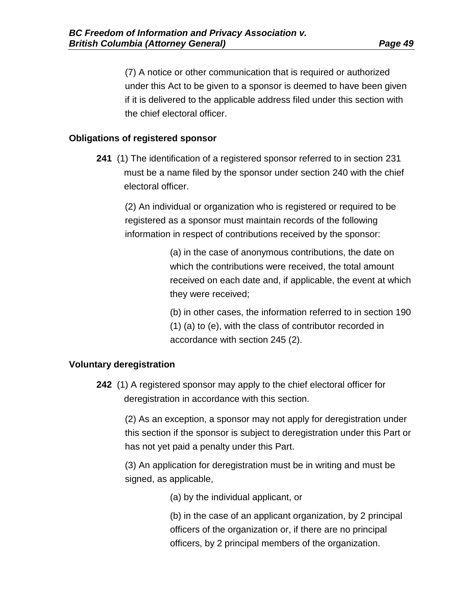(7) A notice or other communication that is required or authorized under this Act to be given to a sponsor is deemed to have been given if it is delivered to the applicable address filed under this section with the chief electoral officer.

### **Obligations of registered sponsor**

**241** (1) The identification of a registered sponsor referred to in section 231 must be a name filed by the sponsor under section 240 with the chief electoral officer.

(2) An individual or organization who is registered or required to be registered as a sponsor must maintain records of the following information in respect of contributions received by the sponsor:

> (a) in the case of anonymous contributions, the date on which the contributions were received, the total amount received on each date and, if applicable, the event at which they were received;

> (b) in other cases, the information referred to in section 190 (1) (a) to (e), with the class of contributor recorded in accordance with section 245 (2).

### **Voluntary deregistration**

**242** (1) A registered sponsor may apply to the chief electoral officer for deregistration in accordance with this section.

(2) As an exception, a sponsor may not apply for deregistration under this section if the sponsor is subject to deregistration under this Part or has not yet paid a penalty under this Part.

(3) An application for deregistration must be in writing and must be signed, as applicable,

(a) by the individual applicant, or

(b) in the case of an applicant organization, by 2 principal officers of the organization or, if there are no principal officers, by 2 principal members of the organization.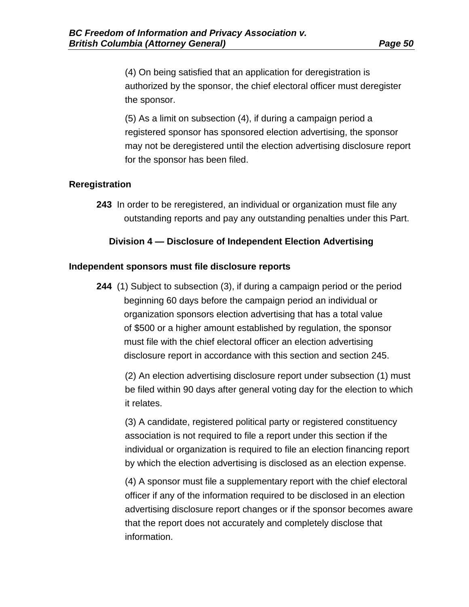(4) On being satisfied that an application for deregistration is authorized by the sponsor, the chief electoral officer must deregister the sponsor.

(5) As a limit on subsection (4), if during a campaign period a registered sponsor has sponsored election advertising, the sponsor may not be deregistered until the election advertising disclosure report for the sponsor has been filed.

### **Reregistration**

**243** In order to be reregistered, an individual or organization must file any outstanding reports and pay any outstanding penalties under this Part.

### **Division 4 — Disclosure of Independent Election Advertising**

### **Independent sponsors must file disclosure reports**

**244** (1) Subject to subsection (3), if during a campaign period or the period beginning 60 days before the campaign period an individual or organization sponsors election advertising that has a total value of \$500 or a higher amount established by regulation, the sponsor must file with the chief electoral officer an election advertising disclosure report in accordance with this section and section 245.

(2) An election advertising disclosure report under subsection (1) must be filed within 90 days after general voting day for the election to which it relates.

(3) A candidate, registered political party or registered constituency association is not required to file a report under this section if the individual or organization is required to file an election financing report by which the election advertising is disclosed as an election expense.

(4) A sponsor must file a supplementary report with the chief electoral officer if any of the information required to be disclosed in an election advertising disclosure report changes or if the sponsor becomes aware that the report does not accurately and completely disclose that information.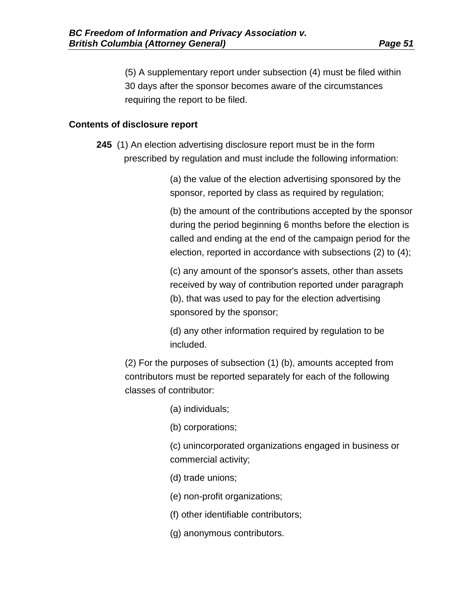(5) A supplementary report under subsection (4) must be filed within 30 days after the sponsor becomes aware of the circumstances requiring the report to be filed.

### **Contents of disclosure report**

**245** (1) An election advertising disclosure report must be in the form prescribed by regulation and must include the following information:

> (a) the value of the election advertising sponsored by the sponsor, reported by class as required by regulation;

(b) the amount of the contributions accepted by the sponsor during the period beginning 6 months before the election is called and ending at the end of the campaign period for the election, reported in accordance with subsections (2) to (4);

(c) any amount of the sponsor's assets, other than assets received by way of contribution reported under paragraph (b), that was used to pay for the election advertising sponsored by the sponsor;

(d) any other information required by regulation to be included.

(2) For the purposes of subsection (1) (b), amounts accepted from contributors must be reported separately for each of the following classes of contributor:

(a) individuals;

(b) corporations;

(c) unincorporated organizations engaged in business or commercial activity;

(d) trade unions;

(e) non-profit organizations;

(f) other identifiable contributors;

(g) anonymous contributors.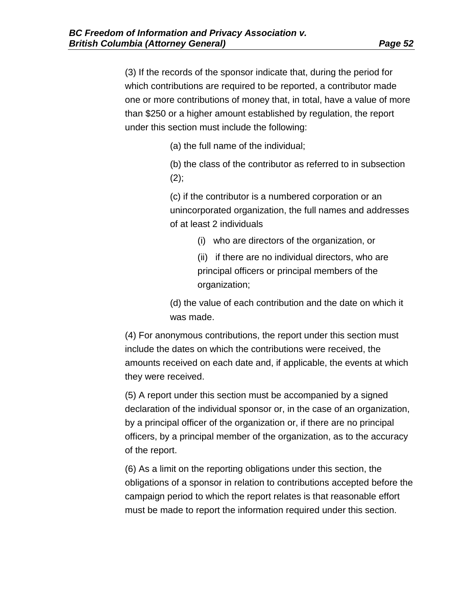(3) If the records of the sponsor indicate that, during the period for which contributions are required to be reported, a contributor made one or more contributions of money that, in total, have a value of more than \$250 or a higher amount established by regulation, the report under this section must include the following:

(a) the full name of the individual;

(b) the class of the contributor as referred to in subsection  $(2)$ ;

(c) if the contributor is a numbered corporation or an unincorporated organization, the full names and addresses of at least 2 individuals

(i) who are directors of the organization, or

(ii) if there are no individual directors, who are principal officers or principal members of the organization;

(d) the value of each contribution and the date on which it was made.

(4) For anonymous contributions, the report under this section must include the dates on which the contributions were received, the amounts received on each date and, if applicable, the events at which they were received.

(5) A report under this section must be accompanied by a signed declaration of the individual sponsor or, in the case of an organization, by a principal officer of the organization or, if there are no principal officers, by a principal member of the organization, as to the accuracy of the report.

(6) As a limit on the reporting obligations under this section, the obligations of a sponsor in relation to contributions accepted before the campaign period to which the report relates is that reasonable effort must be made to report the information required under this section.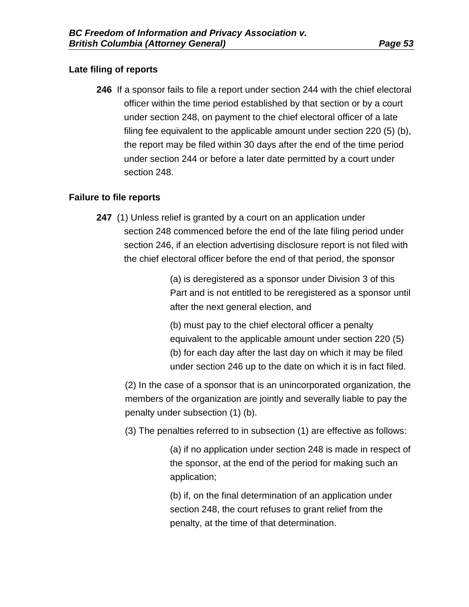### **Late filing of reports**

**246** If a sponsor fails to file a report under section 244 with the chief electoral officer within the time period established by that section or by a court under section 248, on payment to the chief electoral officer of a late filing fee equivalent to the applicable amount under section 220 (5) (b), the report may be filed within 30 days after the end of the time period under section 244 or before a later date permitted by a court under section 248.

### **Failure to file reports**

**247** (1) Unless relief is granted by a court on an application under section 248 commenced before the end of the late filing period under section 246, if an election advertising disclosure report is not filed with the chief electoral officer before the end of that period, the sponsor

> (a) is deregistered as a sponsor under Division 3 of this Part and is not entitled to be reregistered as a sponsor until after the next general election, and

(b) must pay to the chief electoral officer a penalty equivalent to the applicable amount under section 220 (5) (b) for each day after the last day on which it may be filed under section 246 up to the date on which it is in fact filed.

(2) In the case of a sponsor that is an unincorporated organization, the members of the organization are jointly and severally liable to pay the penalty under subsection (1) (b).

(3) The penalties referred to in subsection (1) are effective as follows:

(a) if no application under section 248 is made in respect of the sponsor, at the end of the period for making such an application;

(b) if, on the final determination of an application under section 248, the court refuses to grant relief from the penalty, at the time of that determination.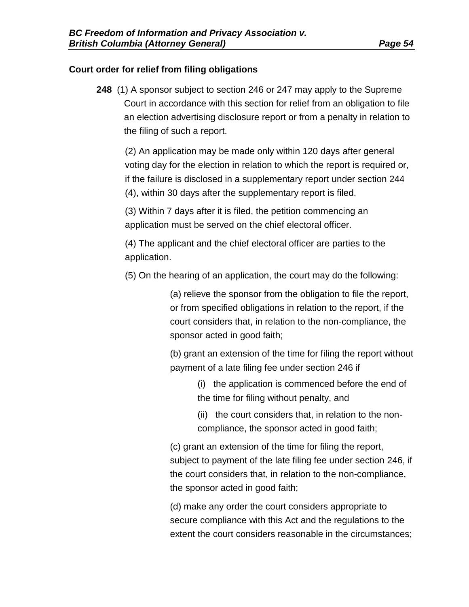### **Court order for relief from filing obligations**

**248** (1) A sponsor subject to section 246 or 247 may apply to the Supreme Court in accordance with this section for relief from an obligation to file an election advertising disclosure report or from a penalty in relation to the filing of such a report.

(2) An application may be made only within 120 days after general voting day for the election in relation to which the report is required or, if the failure is disclosed in a supplementary report under section 244 (4), within 30 days after the supplementary report is filed.

(3) Within 7 days after it is filed, the petition commencing an application must be served on the chief electoral officer.

(4) The applicant and the chief electoral officer are parties to the application.

(5) On the hearing of an application, the court may do the following:

(a) relieve the sponsor from the obligation to file the report, or from specified obligations in relation to the report, if the court considers that, in relation to the non-compliance, the sponsor acted in good faith;

(b) grant an extension of the time for filing the report without payment of a late filing fee under section 246 if

> (i) the application is commenced before the end of the time for filing without penalty, and

(ii) the court considers that, in relation to the noncompliance, the sponsor acted in good faith;

(c) grant an extension of the time for filing the report, subject to payment of the late filing fee under section 246, if the court considers that, in relation to the non-compliance, the sponsor acted in good faith;

(d) make any order the court considers appropriate to secure compliance with this Act and the regulations to the extent the court considers reasonable in the circumstances;